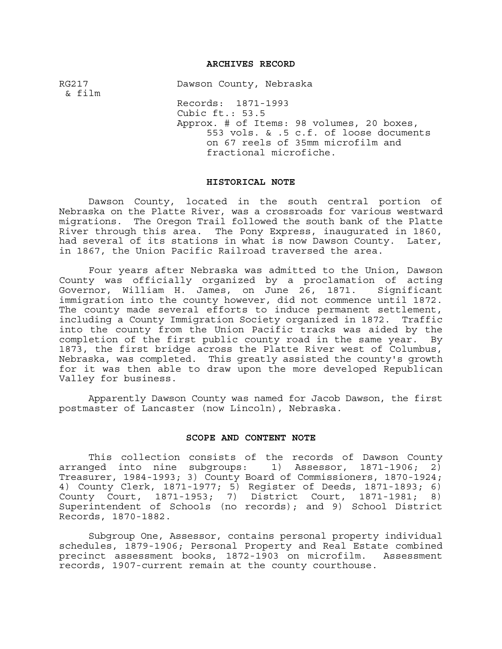# **ARCHIVES RECORD**

RG217 Dawson County, Nebraska & film Records: 1871-1993 Cubic ft.: 53.5 Approx. # of Items: 98 volumes, 20 boxes, 553 vols. & .5 c.f. of loose documents on 67 reels of 35mm microfilm and fractional microfiche.

### **HISTORICAL NOTE**

Dawson County, located in the south central portion of Nebraska on the Platte River, was a crossroads for various westward migrations. The Oregon Trail followed the south bank of the Platte River through this area. The Pony Express, inaugurated in 1860, had several of its stations in what is now Dawson County. Later, in 1867, the Union Pacific Railroad traversed the area.

Four years after Nebraska was admitted to the Union, Dawson County was officially organized by a proclamation of acting Governor, William H. James, on June 26, 1871. Significant immigration into the county however, did not commence until 1872. The county made several efforts to induce permanent settlement, including a County Immigration Society organized in 1872. Traffic into the county from the Union Pacific tracks was aided by the completion of the first public county road in the same year. By 1873, the first bridge across the Platte River west of Columbus, Nebraska, was completed. This greatly assisted the county's growth for it was then able to draw upon the more developed Republican Valley for business.

Apparently Dawson County was named for Jacob Dawson, the first postmaster of Lancaster (now Lincoln), Nebraska.

### **SCOPE AND CONTENT NOTE**

This collection consists of the records of Dawson County arranged into nine subgroups:  $1)$  Assessor, 1871-1906; 2) Treasurer, 1984-1993; 3) County Board of Commissioners, 1870-1924; 4) County Clerk, 1871-1977; 5) Register of Deeds, 1871-1893; 6) County Court, 1871-1953; 7) District Court, 1871-1981; 8) Superintendent of Schools (no records); and 9) School District Records, 1870-1882.

Subgroup One, Assessor, contains personal property individual schedules, 1879-1906; Personal Property and Real Estate combined precinct assessment books, 1872-1903 on microfilm. Assessment records, 1907-current remain at the county courthouse.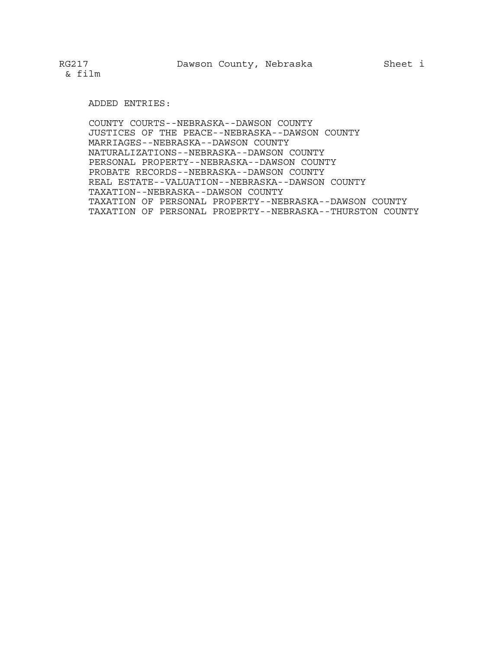### ADDED ENTRIES:

COUNTY COURTS--NEBRASKA--DAWSON COUNTY JUSTICES OF THE PEACE--NEBRASKA--DAWSON COUNTY MARRIAGES--NEBRASKA--DAWSON COUNTY NATURALIZATIONS--NEBRASKA--DAWSON COUNTY PERSONAL PROPERTY--NEBRASKA--DAWSON COUNTY PROBATE RECORDS--NEBRASKA--DAWSON COUNTY REAL ESTATE--VALUATION--NEBRASKA--DAWSON COUNTY TAXATION--NEBRASKA--DAWSON COUNTY TAXATION OF PERSONAL PROPERTY--NEBRASKA--DAWSON COUNTY TAXATION OF PERSONAL PROEPRTY--NEBRASKA--THURSTON COUNTY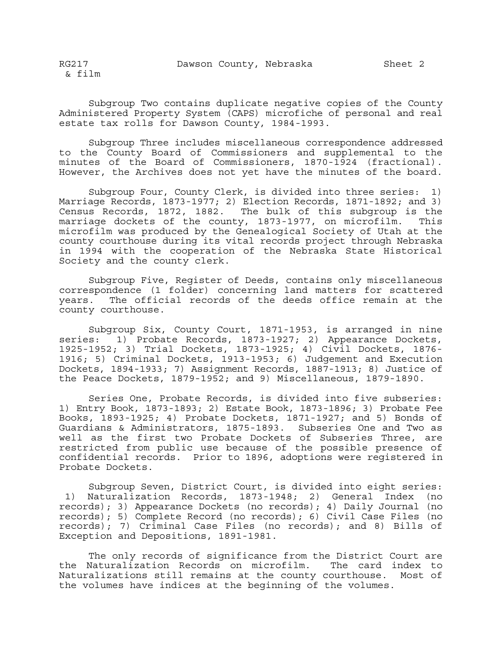Subgroup Two contains duplicate negative copies of the County Administered Property System (CAPS) microfiche of personal and real estate tax rolls for Dawson County, 1984-1993.

Subgroup Three includes miscellaneous correspondence addressed to the County Board of Commissioners and supplemental to the minutes of the Board of Commissioners, 1870-1924 (fractional). However, the Archives does not yet have the minutes of the board.

Subgroup Four, County Clerk, is divided into three series: 1) Marriage Records, 1873-1977; 2) Election Records, 1871-1892; and 3) Census Records, 1872, 1882. The bulk of this subgroup is the marriage dockets of the county, 1873-1977, on microfilm. This microfilm was produced by the Genealogical Society of Utah at the county courthouse during its vital records project through Nebraska in 1994 with the cooperation of the Nebraska State Historical Society and the county clerk.

Subgroup Five, Register of Deeds, contains only miscellaneous correspondence (1 folder) concerning land matters for scattered years. The official records of the deeds office remain at the county courthouse.

Subgroup Six, County Court, 1871-1953, is arranged in nine series: 1) Probate Records, 1873-1927; 2) Appearance Dockets, 1925-1952; 3) Trial Dockets, 1873-1925; 4) Civil Dockets, 1876- 1916; 5) Criminal Dockets, 1913-1953; 6) Judgement and Execution Dockets, 1894-1933; 7) Assignment Records, 1887-1913; 8) Justice of the Peace Dockets, 1879-1952; and 9) Miscellaneous, 1879-1890.

Series One, Probate Records, is divided into five subseries: 1) Entry Book, 1873-1893; 2) Estate Book, 1873-1896; 3) Probate Fee Books, 1893-1925; 4) Probate Dockets, 1871-1927; and 5) Bonds of Guardians & Administrators, 1875-1893. Subseries One and Two as well as the first two Probate Dockets of Subseries Three, are restricted from public use because of the possible presence of confidential records. Prior to 1896, adoptions were registered in Probate Dockets.

Subgroup Seven, District Court, is divided into eight series: 1) Naturalization Records, 1873-1948; 2) General Index (no records); 3) Appearance Dockets (no records); 4) Daily Journal (no records); 5) Complete Record (no records); 6) Civil Case Files (no records); 7) Criminal Case Files (no records); and 8) Bills of Exception and Depositions, 1891-1981.

The only records of significance from the District Court are the Naturalization Records on microfilm. The card index to Naturalizations still remains at the county courthouse. Most of the volumes have indices at the beginning of the volumes.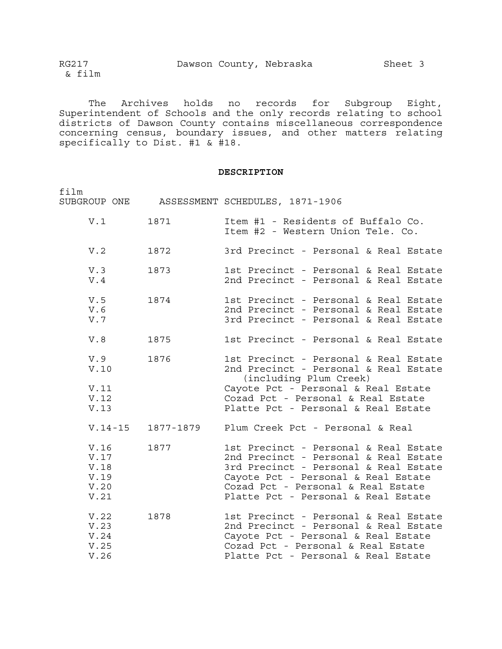The Archives holds no records for Subgroup Eight, Superintendent of Schools and the only records relating to school districts of Dawson County contains miscellaneous correspondence concerning census, boundary issues, and other matters relating specifically to Dist. #1 & #18.

# **DESCRIPTION**

| film                                         |                     | SUBGROUP ONE ASSESSMENT SCHEDULES, 1871-1906                                                                                                                                                                                                |
|----------------------------------------------|---------------------|---------------------------------------------------------------------------------------------------------------------------------------------------------------------------------------------------------------------------------------------|
| V.1                                          | 1871                | Item #1 - Residents of Buffalo Co.<br>Item #2 - Western Union Tele. Co.                                                                                                                                                                     |
| V.2                                          | 1872                | 3rd Precinct - Personal & Real Estate                                                                                                                                                                                                       |
| V.3<br>V.4                                   | 1873                | 1st Precinct - Personal & Real Estate<br>2nd Precinct - Personal & Real Estate                                                                                                                                                              |
| V.5<br>V.6<br>V.7                            | 1874                | 1st Precinct - Personal & Real Estate<br>2nd Precinct - Personal & Real Estate<br>3rd Precinct - Personal & Real Estate                                                                                                                     |
| V.8                                          | 1875                | 1st Precinct - Personal & Real Estate                                                                                                                                                                                                       |
| V.9<br>V.10                                  | 1876                | 1st Precinct - Personal & Real Estate<br>2nd Precinct - Personal & Real Estate<br>(including Plum Creek)                                                                                                                                    |
| V.11<br>V.12<br>V.13                         |                     | Cayote Pct - Personal & Real Estate<br>Cozad Pct - Personal & Real Estate<br>Platte Pct - Personal & Real Estate                                                                                                                            |
|                                              | $V.14-15$ 1877-1879 | Plum Creek Pct - Personal & Real                                                                                                                                                                                                            |
| V.16<br>V.17<br>V.18<br>V.19<br>V.20<br>V.21 | 1877                | 1st Precinct - Personal & Real Estate<br>2nd Precinct - Personal & Real Estate<br>3rd Precinct - Personal & Real Estate<br>Cayote Pct - Personal & Real Estate<br>Cozad Pct - Personal & Real Estate<br>Platte Pct - Personal & Real Estate |
| V.22<br>V.23<br>V.24<br>V.25<br>V.26         | 1878                | 1st Precinct - Personal & Real Estate<br>2nd Precinct - Personal & Real Estate<br>Cayote Pct - Personal & Real Estate<br>Cozad Pct - Personal & Real Estate<br>Platte Pct - Personal & Real Estate                                          |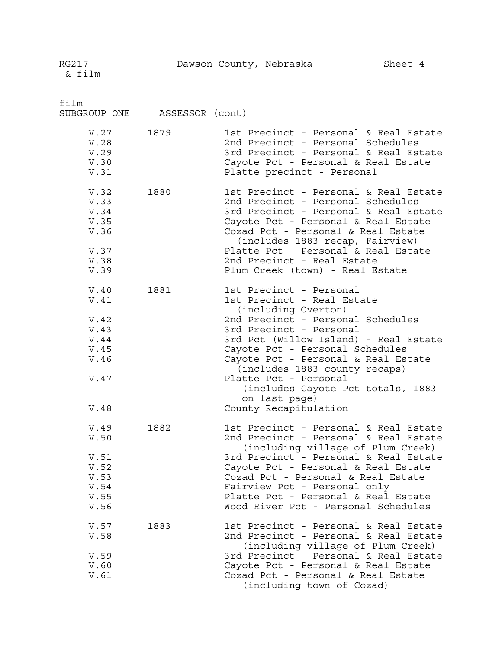film SUBGROUP ONE ASSESSOR (cont) V.27 1879 1st Precinct - Personal & Real Estate V.28 2nd Precinct - Personal Schedules V.29 3rd Precinct - Personal & Real Estate V.30 Cayote Pct - Personal & Real Estate<br>V.31 Platte precinct - Personal Platte precinct - Personal V.32 1880 1st Precinct - Personal & Real Estate V.33 2nd Precinct - Personal Schedules V.34 3rd Precinct - Personal & Real Estate<br>V.35 35 3rd Precinct - Personal & Real Estate Cayote Pct - Personal & Real Estate V.36 Cozad Pct - Personal & Real Estate (includes 1883 recap, Fairview) V.37 Platte Pct - Personal & Real Estate V.38 2nd Precinct - Real Estate V.39 Plum Creek (town) - Real Estate V.40 1881 1st Precinct - Personal V.41 1st Precinct - Real Estate (including Overton) V.42 2nd Precinct - Personal Schedules<br>V.43 3rd Precinct - Personal V.43 3rd Precinct - Personal<br>V.44 3rd Pct (Willow Island) 3rd Pct (Willow Island) - Real Estate V.45 Cayote Pct - Personal Schedules V.46 Cayote Pct - Personal & Real Estate (includes 1883 county recaps) V.47 Platte Pct - Personal (includes Cayote Pct totals, 1883 on last page) V.48 County Recapitulation V.49 1882 1st Precinct - Personal & Real Estate<br>V.50 1882 2nd Precinct - Personal & Real Estate 2nd Precinct - Personal & Real Estate (including village of Plum Creek) V.51 3rd Precinct - Personal & Real Estate V.52 Cayote Pct - Personal & Real Estate V.53 Cozad Pct - Personal & Real Estate V.54 Fairview Pct - Personal only<br>V.55 Platte Pct - Personal & Real Platte Pct - Personal & Real Estate V.56 Wood River Pct - Personal Schedules V.57 1883 1st Precinct - Personal & Real Estate V.58 2nd Precinct - Personal & Real Estate (including village of Plum Creek) V.59 3rd Precinct - Personal & Real Estate V.60 Cayote Pct - Personal & Real Estate V.61 Cozad Pct - Personal & Real Estate (including town of Cozad)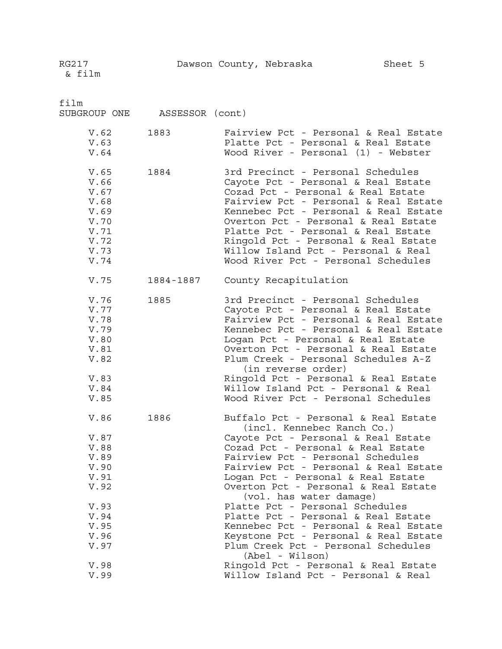| film<br>SUBGROUP ONE                                                                                         | ASSESSOR (cont) |                                                                                                                                                                                                                                                                                                                                                                                                                                                                                                                                                                                                                                             |
|--------------------------------------------------------------------------------------------------------------|-----------------|---------------------------------------------------------------------------------------------------------------------------------------------------------------------------------------------------------------------------------------------------------------------------------------------------------------------------------------------------------------------------------------------------------------------------------------------------------------------------------------------------------------------------------------------------------------------------------------------------------------------------------------------|
| V.62<br>V.63<br>V.64                                                                                         | 1883            | Fairview Pct - Personal & Real Estate<br>Platte Pct - Personal & Real Estate<br>Wood River - Personal (1) - Webster                                                                                                                                                                                                                                                                                                                                                                                                                                                                                                                         |
| V.65<br>V.66<br>V.67<br>V.68<br>V.69<br>V.70<br>V.71<br>V.72<br>V.73<br>V.74                                 | 1884            | 3rd Precinct - Personal Schedules<br>Cayote Pct - Personal & Real Estate<br>Cozad Pct - Personal & Real Estate<br>Fairview Pct - Personal & Real Estate<br>Kennebec Pct - Personal & Real Estate<br>Overton Pct - Personal & Real Estate<br>Platte Pct - Personal & Real Estate<br>Ringold Pct - Personal & Real Estate<br>Willow Island Pct - Personal & Real<br>Wood River Pct - Personal Schedules                                                                                                                                                                                                                                       |
| V.75                                                                                                         | 1884-1887       | County Recapitulation                                                                                                                                                                                                                                                                                                                                                                                                                                                                                                                                                                                                                       |
| V.76<br>V.77<br>V.78<br>V.79<br>V.80<br>V.81<br>V.82<br>V.83<br>V.84<br>V.85                                 | 1885            | 3rd Precinct - Personal Schedules<br>Cayote Pct - Personal & Real Estate<br>Fairview Pct - Personal & Real Estate<br>Kennebec Pct - Personal & Real Estate<br>Logan Pct - Personal & Real Estate<br>Overton Pct - Personal & Real Estate<br>Plum Creek - Personal Schedules A-Z<br>(in reverse order)<br>Ringold Pct - Personal & Real Estate<br>Willow Island Pct - Personal & Real<br>Wood River Pct - Personal Schedules                                                                                                                                                                                                                 |
| V.86<br>V.87<br>V.88<br>V.89<br>V.90<br>V.91<br>V.92<br>V.93<br>V.94<br>V.95<br>V.96<br>V.97<br>V.98<br>V.99 | 1886            | Buffalo Pct - Personal & Real Estate<br>(incl. Kennebec Ranch Co.)<br>Cayote Pct - Personal & Real Estate<br>Cozad Pct - Personal & Real Estate<br>Fairview Pct - Personal Schedules<br>Fairview Pct - Personal & Real Estate<br>Logan Pct - Personal & Real Estate<br>Overton Pct - Personal & Real Estate<br>(vol. has water damage)<br>Platte Pct - Personal Schedules<br>Platte Pct - Personal & Real Estate<br>Kennebec Pct - Personal & Real Estate<br>Keystone Pct - Personal & Real Estate<br>Plum Creek Pct - Personal Schedules<br>(Abel - Wilson)<br>Ringold Pct - Personal & Real Estate<br>Willow Island Pct - Personal & Real |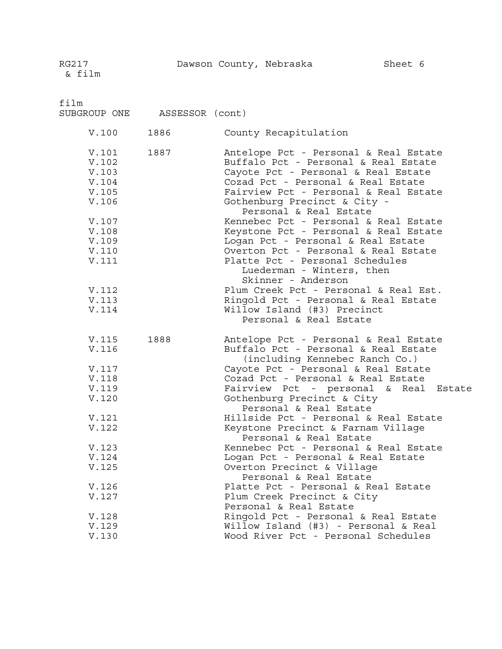film SUBGROUP ONE ASSESSOR (cont) V.100 1886 County Recapitulation V.101 1887 Antelope Pct - Personal & Real Estate V.102 Buffalo Pct - Personal & Real Estate V.103 Cayote Pct - Personal & Real Estate V.104 Cozad Pct - Personal & Real Estate V.105 Fairview Pct - Personal & Real Estate V.106 Gothenburg Precinct & City - Personal & Real Estate V.107 Kennebec Pct - Personal & Real Estate V.108 Keystone Pct - Personal & Real Estate V.109 Logan Pct - Personal & Real Estate V.110 Overton Pct - Personal & Real Estate V.111 Platte Pct - Personal Schedules Luederman - Winters, then Skinner - Anderson V.112 Plum Creek Pct - Personal & Real Est. V.113 Ringold Pct - Personal & Real Estate V.114 Willow Island (#3) Precinct Personal & Real Estate V.115 1888 Antelope Pct - Personal & Real Estate V.116 Buffalo Pct - Personal & Real Estate (including Kennebec Ranch Co.) V.117 Cayote Pct - Personal & Real Estate V.118 Cozad Pct - Personal & Real Estate V.119 Fairview Pct - personal & Real Estate V.120 Gothenburg Precinct & City Personal & Real Estate V.121 Hillside Pct - Personal & Real Estate V.122 Keystone Precinct & Farnam Village Personal & Real Estate V.123 Kennebec Pct - Personal & Real Estate V.124 Logan Pct - Personal & Real Estate V.125 Overton Precinct & Village Personal & Real Estate V.126 Platte Pct - Personal & Real Estate V.127 Plum Creek Precinct & City Personal & Real Estate V.128 Ringold Pct - Personal & Real Estate V.129 Willow Island (#3) - Personal & Real Wood River Pct - Personal Schedules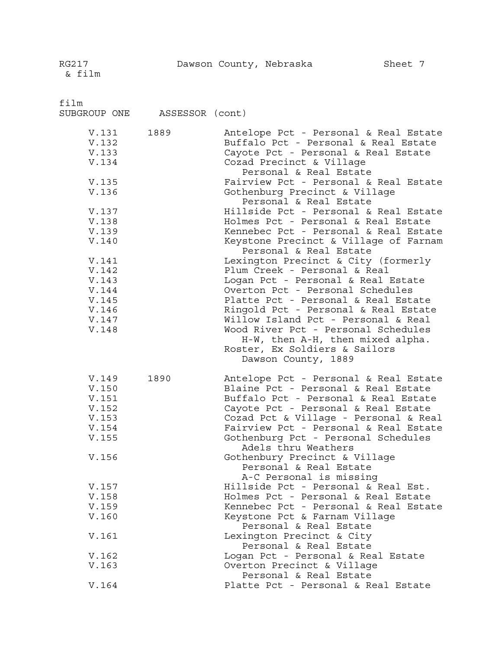RG217 Dawson County, Nebraska Sheet 7

film SUBGROUP ONE ASSESSOR (cont) V.131 1889 Antelope Pct - Personal & Real Estate V.132 Buffalo Pct - Personal & Real Estate V.133 Cayote Pct - Personal & Real Estate V.134 Cozad Precinct & Village Personal & Real Estate V.135 Fairview Pct - Personal & Real Estate V.136 Gothenburg Precinct & Village Personal & Real Estate V.137 Hillside Pct - Personal & Real Estate Holmes Pct - Personal & Real Estate V.139 Kennebec Pct - Personal & Real Estate V.140 Keystone Precinct & Village of Farnam Personal & Real Estate V.141 Lexington Precinct & City (formerly V.142 Plum Creek - Personal & Real Logan Pct - Personal & Real Estate V.144 Overton Pct - Personal Schedules V.145 Platte Pct - Personal & Real Estate V.146 Ringold Pct - Personal & Real Estate Willow Island Pct - Personal & Real V.148 Wood River Pct - Personal Schedules H-W, then A-H, then mixed alpha. Roster, Ex Soldiers & Sailors Dawson County, 1889 V.149 1890 Antelope Pct - Personal & Real Estate<br>V.150 Blaine Pct - Personal & Real Estate Blaine Pct - Personal & Real Estate V.151 Buffalo Pct - Personal & Real Estate V.152 Cayote Pct - Personal & Real Estate V.153 Cozad Pct & Village - Personal & Real V.154 Fairview Pct - Personal & Real Estate V.155 Gothenburg Pct - Personal Schedules Adels thru Weathers V.156 Gothenbury Precinct & Village Personal & Real Estate A-C Personal is missing V.157 Hillside Pct - Personal & Real Est. V.158 Holmes Pct - Personal & Real Estate V.159 Kennebec Pct - Personal & Real Estate V.160 Keystone Pct & Farnam Village Personal & Real Estate V.161 Lexington Precinct & City Personal & Real Estate V.162 Logan Pct - Personal & Real Estate V.163 Overton Precinct & Village

Personal & Real Estate V.164 Platte Pct - Personal & Real Estate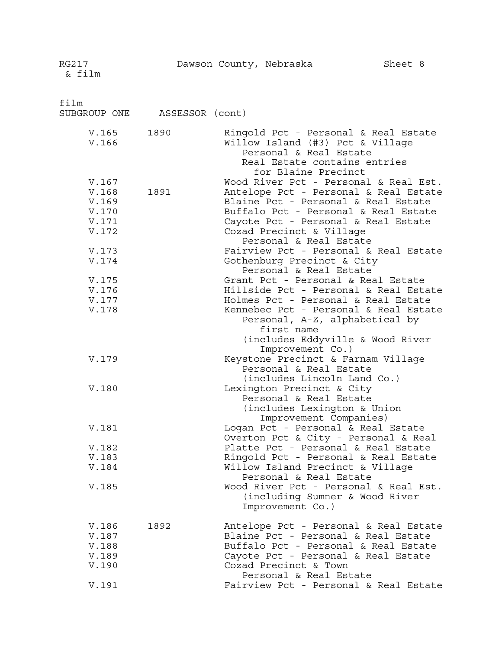film SUBGROUP ONE ASSESSOR (cont) V.165 1890 Ringold Pct - Personal & Real Estate V.166 Willow Island (#3) Pct & Village Personal & Real Estate Real Estate contains entries for Blaine Precinct V.167 Wood River Pct - Personal & Real Est. V.168 1891 Antelope Pct - Personal & Real Estate V.169 Blaine Pct - Personal & Real Estate<br>V.170 Buffalo Pct - Personal & Real Estate V.170 Buffalo Pct - Personal & Real Estate Cayote Pct - Personal & Real Estate V.172 Cozad Precinct & Village Personal & Real Estate V.173 Fairview Pct - Personal & Real Estate V.174 Gothenburg Precinct & City Personal & Real Estate V.175 Grant Pct - Personal & Real Estate V.176 Hillside Pct - Personal & Real Estate V.177 Holmes Pct - Personal & Real Estate Kennebec Pct - Personal & Real Estate Personal, A-Z, alphabetical by first name (includes Eddyville & Wood River Improvement Co.) V.179 Keystone Precinct & Farnam Village Personal & Real Estate (includes Lincoln Land Co.) V.180 Lexington Precinct & City Personal & Real Estate (includes Lexington & Union Improvement Companies) V.181 Logan Pct - Personal & Real Estate Overton Pct & City - Personal & Real V.182 Platte Pct - Personal & Real Estate V.183 Ringold Pct - Personal & Real Estate V.184 Willow Island Precinct & Village Personal & Real Estate V.185 Wood River Pct - Personal & Real Est. (including Sumner & Wood River Improvement Co.) V.186 1892 Antelope Pct - Personal & Real Estate<br>V.187 Blaine Pct - Personal & Real Estate Blaine Pct - Personal & Real Estate V.188 Buffalo Pct - Personal & Real Estate V.189 Cayote Pct - Personal & Real Estate V.190 Cozad Precinct & Town

Personal & Real Estate V.191 Fairview Pct - Personal & Real Estate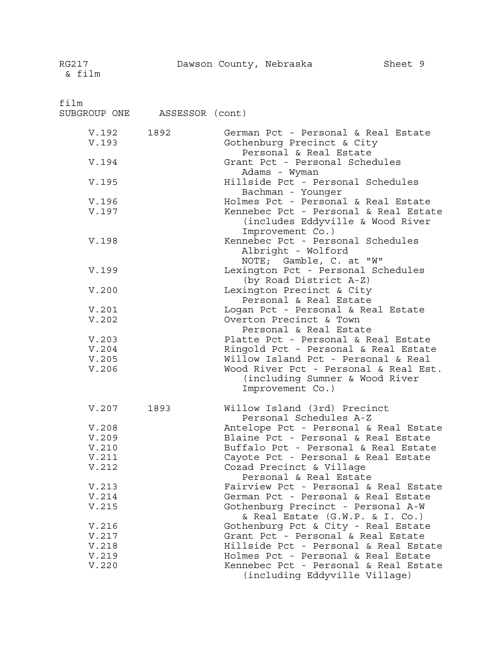film

SUBGROUP ONE ASSESSOR (cont) V.192 1892 German Pct - Personal & Real Estate V.193 Gothenburg Precinct & City Personal & Real Estate V.194 Grant Pct - Personal Schedules Adams - Wyman V.195 Hillside Pct - Personal Schedules Bachman - Younger V.196 Holmes Pct - Personal & Real Estate Kennebec Pct - Personal & Real Estate (includes Eddyville & Wood River Improvement Co.) V.198 Kennebec Pct - Personal Schedules Albright - Wolford NOTE; Gamble, C. at "W" V.199 Lexington Pct - Personal Schedules (by Road District A-Z) V.200 Lexington Precinct & City Personal & Real Estate V.201 Logan Pct - Personal & Real Estate Overton Precinct & Town Personal & Real Estate V.203 Platte Pct - Personal & Real Estate V.204 Ringold Pct - Personal & Real Estate V.205 Willow Island Pct - Personal & Real V.206 Wood River Pct - Personal & Real Est. (including Sumner & Wood River Improvement Co.) V.207 1893 Willow Island (3rd) Precinct Personal Schedules A-Z V.208 Antelope Pct - Personal & Real Estate Blaine Pct - Personal & Real Estate V.210 Buffalo Pct - Personal & Real Estate V.211 Cayote Pct - Personal & Real Estate V.212 Cozad Precinct & Village Personal & Real Estate V.213 Fairview Pct - Personal & Real Estate<br>V.214 German Pct - Personal & Real Estate German Pct - Personal & Real Estate V.215 Gothenburg Precinct - Personal A-W & Real Estate (G.W.P. & I. Co.) V.216 Gothenburg Pct & City - Real Estate V.217 Grant Pct - Personal & Real Estate Hillside Pct - Personal & Real Estate V.219 Holmes Pct - Personal & Real Estate V.220 Kennebec Pct - Personal & Real Estate (including Eddyville Village)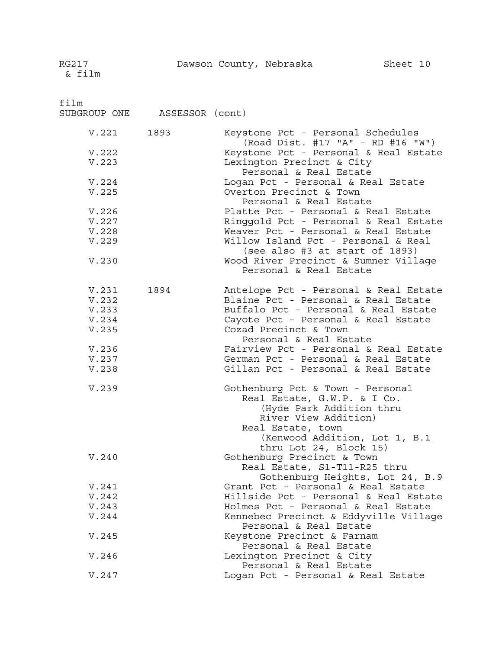film

SUBGROUP ONE ASSESSOR (cont)

| V.221 1893                                |      | Keystone Pct - Personal Schedules                                                                                                                                                                              |
|-------------------------------------------|------|----------------------------------------------------------------------------------------------------------------------------------------------------------------------------------------------------------------|
| V.222<br>V.223                            |      | (Road Dist. #17 "A" - RD #16 "W")<br>Keystone Pct - Personal & Real Estate<br>Lexington Precinct & City<br>Personal & Real Estate                                                                              |
| V.224<br>V.225                            |      | Logan Pct - Personal & Real Estate<br>Overton Precinct & Town<br>Personal & Real Estate                                                                                                                        |
| V.226<br>V.227<br>V.228<br>V.229          |      | Platte Pct - Personal & Real Estate<br>Ringgold Pct - Personal & Real Estate<br>Weaver Pct - Personal & Real Estate<br>Willow Island Pct - Personal & Real<br>(see also #3 at start of 1893)                   |
| V.230                                     |      | Wood River Precinct & Sumner Village<br>Personal & Real Estate                                                                                                                                                 |
| V.231<br>V.232<br>V.233<br>V.234<br>V.235 | 1894 | Antelope Pct - Personal & Real Estate<br>Blaine Pct - Personal & Real Estate<br>Buffalo Pct - Personal & Real Estate<br>Cayote Pct - Personal & Real Estate<br>Cozad Precinct & Town<br>Personal & Real Estate |
| V.236<br>V.237<br>V.238                   |      | Fairview Pct - Personal & Real Estate<br>German Pct - Personal & Real Estate<br>Gillan Pct - Personal & Real Estate                                                                                            |
| V.239                                     |      | Gothenburg Pct & Town - Personal<br>Real Estate, G.W.P. & I Co.<br>(Hyde Park Addition thru<br>River View Addition)<br>Real Estate, town<br>(Kenwood Addition, Lot 1, B.1<br>thru Lot 24, Block 15)            |
| V.240                                     |      | Gothenburg Precinct & Town<br>Real Estate, S1-T11-R25 thru<br>Gothenburg Heights, Lot 24, B.9                                                                                                                  |
| V.241                                     |      | Grant Pct - Personal & Real Estate                                                                                                                                                                             |
| V.242                                     |      | Hillside Pct - Personal & Real Estate                                                                                                                                                                          |
| V.243                                     |      | Holmes Pct - Personal & Real Estate                                                                                                                                                                            |
| V.244                                     |      | Kennebec Precinct & Eddyville Village<br>Personal & Real Estate                                                                                                                                                |
| V.245                                     |      | Keystone Precinct & Farnam<br>Personal & Real Estate                                                                                                                                                           |
| V.246                                     |      | Lexington Precinct & City<br>Personal & Real Estate                                                                                                                                                            |
| V.247                                     |      | Logan Pct - Personal & Real Estate                                                                                                                                                                             |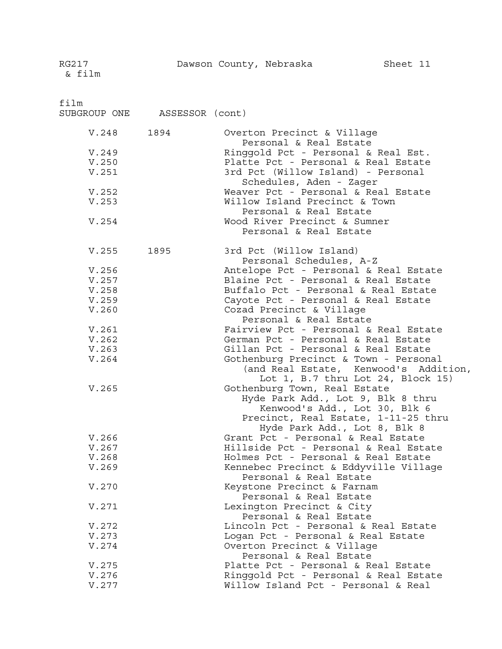film

SUBGROUP ONE ASSESSOR (cont)

| V.248 | 1894 | Overton Precinct & Village                           |
|-------|------|------------------------------------------------------|
|       |      | Personal & Real Estate                               |
| V.249 |      | Ringgold Pct - Personal & Real Est.                  |
| V.250 |      | Platte Pct - Personal & Real Estate                  |
| V.251 |      | 3rd Pct (Willow Island) - Personal                   |
|       |      | Schedules, Aden - Zager                              |
| V.252 |      | Weaver Pct - Personal & Real Estate                  |
| V.253 |      | Willow Island Precinct & Town                        |
|       |      | Personal & Real Estate                               |
| V.254 |      | Wood River Precinct & Sumner                         |
|       |      | Personal & Real Estate                               |
|       |      |                                                      |
| V.255 | 1895 | 3rd Pct (Willow Island)                              |
|       |      | Personal Schedules, A-Z                              |
| V.256 |      | Antelope Pct - Personal & Real Estate                |
| V.257 |      | Blaine Pct - Personal & Real Estate                  |
| V.258 |      | Buffalo Pct - Personal & Real Estate                 |
| V.259 |      | Cayote Pct - Personal & Real Estate                  |
| V.260 |      | Cozad Precinct & Village                             |
|       |      | Personal & Real Estate                               |
| V.261 |      | Fairview Pct - Personal & Real Estate                |
| V.262 |      | German Pct - Personal & Real Estate                  |
| V.263 |      | Gillan Pct - Personal & Real Estate                  |
| V.264 |      | Gothenburg Precinct & Town - Personal                |
|       |      | (and Real Estate, Kenwood's Addition,                |
|       |      | Lot $1, B.7$ thru Lot $24, Block 15$                 |
| V.265 |      | Gothenburg Town, Real Estate                         |
|       |      | Hyde Park Add., Lot 9, Blk 8 thru                    |
|       |      | Kenwood's Add., Lot 30, Blk 6                        |
|       |      | Precinct, Real Estate, 1-11-25 thru                  |
|       |      | Hyde Park Add., Lot 8, Blk 8                         |
| V.266 |      | Grant Pct - Personal & Real Estate                   |
| V.267 |      | Hillside Pct - Personal & Real Estate                |
| V.268 |      | Holmes Pct - Personal & Real Estate                  |
| V.269 |      | Kennebec Precinct & Eddyville Village                |
|       |      | Personal & Real Estate                               |
|       |      |                                                      |
| V.270 |      | Keystone Precinct & Farnam<br>Personal & Real Estate |
|       |      |                                                      |
| V.271 |      | Lexington Precinct & City                            |
|       |      | Personal & Real Estate                               |
| V.272 |      | Lincoln Pct - Personal & Real Estate                 |
| V.273 |      | Logan Pct - Personal & Real Estate                   |
| V.274 |      | Overton Precinct & Village<br>Personal & Real Estate |
|       |      |                                                      |
| V.275 |      | Platte Pct - Personal & Real Estate                  |
| V.276 |      | Ringgold Pct - Personal & Real Estate                |
| V.277 |      | Willow Island Pct - Personal & Real                  |
|       |      |                                                      |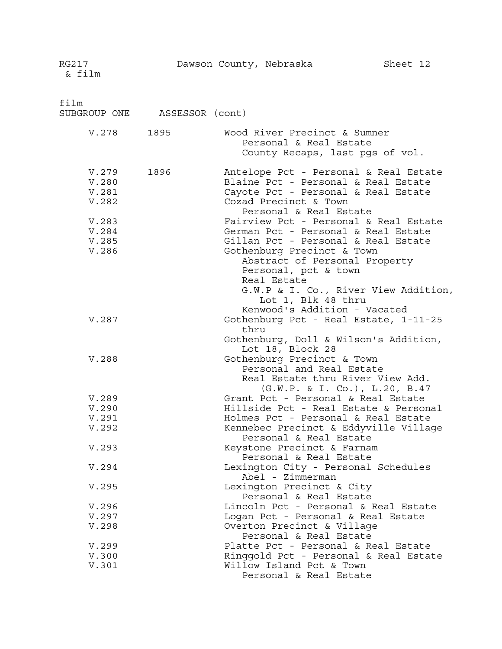| film<br>SUBGROUP ONE ASSESSOR (cont)                                 |      |                                                                                                                                                                                                                                                                                                                                                                                                                                                                                                   |
|----------------------------------------------------------------------|------|---------------------------------------------------------------------------------------------------------------------------------------------------------------------------------------------------------------------------------------------------------------------------------------------------------------------------------------------------------------------------------------------------------------------------------------------------------------------------------------------------|
| V.278 1895                                                           |      | Wood River Precinct & Sumner<br>Personal & Real Estate<br>County Recaps, last pgs of vol.                                                                                                                                                                                                                                                                                                                                                                                                         |
| V.279<br>V.280<br>V.281<br>V.282<br>V.283<br>V.284<br>V.285<br>V.286 | 1896 | Antelope Pct - Personal & Real Estate<br>Blaine Pct - Personal & Real Estate<br>Cayote Pct - Personal & Real Estate<br>Cozad Precinct & Town<br>Personal & Real Estate<br>Fairview Pct - Personal & Real Estate<br>German Pct - Personal & Real Estate<br>Gillan Pct - Personal & Real Estate<br>Gothenburg Precinct & Town<br>Abstract of Personal Property<br>Personal, pct & town<br>Real Estate<br>G.W.P & I. Co., River View Addition,<br>Lot 1, Blk 48 thru<br>Kenwood's Addition - Vacated |
| V.287                                                                |      | Gothenburg Pct - Real Estate, 1-11-25<br>thru<br>Gothenburg, Doll & Wilson's Addition,<br>Lot 18, Block 28                                                                                                                                                                                                                                                                                                                                                                                        |
| V.288                                                                |      | Gothenburg Precinct & Town<br>Personal and Real Estate<br>Real Estate thru River View Add.<br>(G.W.P. & I. Co.), L.20, B.47                                                                                                                                                                                                                                                                                                                                                                       |
| V.289                                                                |      | Grant Pct - Personal & Real Estate                                                                                                                                                                                                                                                                                                                                                                                                                                                                |
| V.290                                                                |      | Hillside Pct - Real Estate & Personal                                                                                                                                                                                                                                                                                                                                                                                                                                                             |
| V.291                                                                |      | Holmes Pct - Personal & Real Estate                                                                                                                                                                                                                                                                                                                                                                                                                                                               |
| V.292                                                                |      | Kennebec Precinct & Eddyville Village<br>Personal & Real Estate                                                                                                                                                                                                                                                                                                                                                                                                                                   |
| V.293                                                                |      | Keystone Precinct & Farnam<br>Personal & Real Estate                                                                                                                                                                                                                                                                                                                                                                                                                                              |
| V.294                                                                |      | Lexington City - Personal Schedules<br>Abel - Zimmerman                                                                                                                                                                                                                                                                                                                                                                                                                                           |
| V.295                                                                |      | Lexington Precinct & City<br>Personal & Real Estate                                                                                                                                                                                                                                                                                                                                                                                                                                               |
| V.296                                                                |      | Lincoln Pct - Personal & Real Estate                                                                                                                                                                                                                                                                                                                                                                                                                                                              |
| V.297                                                                |      | Logan Pct - Personal & Real Estate                                                                                                                                                                                                                                                                                                                                                                                                                                                                |
| V.298                                                                |      | Overton Precinct & Village<br>Personal & Real Estate                                                                                                                                                                                                                                                                                                                                                                                                                                              |
| V.299                                                                |      | Platte Pct - Personal & Real Estate                                                                                                                                                                                                                                                                                                                                                                                                                                                               |
| V.300                                                                |      | Ringgold Pct - Personal & Real Estate                                                                                                                                                                                                                                                                                                                                                                                                                                                             |
| V.301                                                                |      | Willow Island Pct & Town<br>Personal & Real Estate                                                                                                                                                                                                                                                                                                                                                                                                                                                |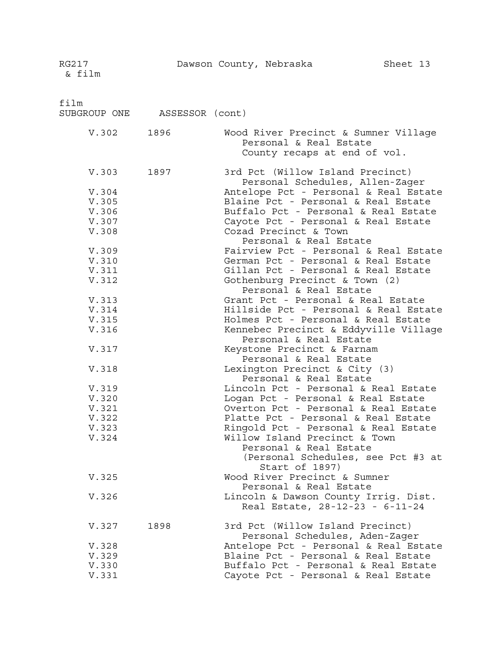| film<br>SUBGROUP ONE                                                                                              | ASSESSOR (cont) |                                                                                                                                                                                                                                                                                                                                                                                                                                                                                                                                                                                                                                                                   |
|-------------------------------------------------------------------------------------------------------------------|-----------------|-------------------------------------------------------------------------------------------------------------------------------------------------------------------------------------------------------------------------------------------------------------------------------------------------------------------------------------------------------------------------------------------------------------------------------------------------------------------------------------------------------------------------------------------------------------------------------------------------------------------------------------------------------------------|
| V.302                                                                                                             | 1896            | Wood River Precinct & Sumner Village<br>Personal & Real Estate<br>County recaps at end of vol.                                                                                                                                                                                                                                                                                                                                                                                                                                                                                                                                                                    |
| V.304<br>V.305<br>V.306<br>V.307<br>V.308<br>V.309<br>V.310<br>V.311<br>V.312<br>V.313<br>V.314<br>V.315<br>V.316 | V.303 1897      | 3rd Pct (Willow Island Precinct)<br>Personal Schedules, Allen-Zager<br>Antelope Pct - Personal & Real Estate<br>Blaine Pct - Personal & Real Estate<br>Buffalo Pct - Personal & Real Estate<br>Cayote Pct - Personal & Real Estate<br>Cozad Precinct & Town<br>Personal & Real Estate<br>Fairview Pct - Personal & Real Estate<br>German Pct - Personal & Real Estate<br>Gillan Pct - Personal & Real Estate<br>Gothenburg Precinct & Town (2)<br>Personal & Real Estate<br>Grant Pct - Personal & Real Estate<br>Hillside Pct - Personal & Real Estate<br>Holmes Pct - Personal & Real Estate<br>Kennebec Precinct & Eddyville Village<br>Personal & Real Estate |
| V.317<br>V.318<br>V.319<br>V.320<br>V.321<br>V.322<br>V.323<br>V.324<br>V.325<br>V.326                            |                 | Keystone Precinct & Farnam<br>Personal & Real Estate<br>Lexington Precinct & City (3)<br>Personal & Real Estate<br>Lincoln Pct - Personal & Real Estate<br>Logan Pct - Personal & Real Estate<br>Overton Pct - Personal & Real Estate<br>Platte Pct - Personal & Real Estate<br>Ringold Pct - Personal & Real Estate<br>Willow Island Precinct & Town<br>Personal & Real Estate<br>(Personal Schedules, see Pct #3 at<br>Start of 1897)<br>Wood River Precinct & Sumner<br>Personal & Real Estate<br>Lincoln & Dawson County Irrig. Dist.<br>Real Estate, 28-12-23 - 6-11-24                                                                                      |
| V.327<br>V.328<br>V.329<br>V.330<br>V.331                                                                         | 1898            | 3rd Pct (Willow Island Precinct)<br>Personal Schedules, Aden-Zager<br>Antelope Pct - Personal & Real Estate<br>Blaine Pct - Personal & Real Estate<br>Buffalo Pct - Personal & Real Estate<br>Cayote Pct - Personal & Real Estate                                                                                                                                                                                                                                                                                                                                                                                                                                 |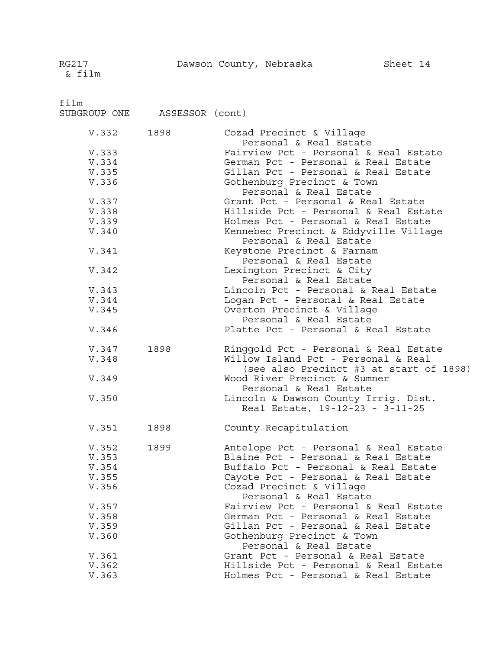film

SUBGROUP ONE ASSESSOR (cont)

| V.332          | 1898 | Cozad Precinct & Village<br>Personal & Real Estate                           |
|----------------|------|------------------------------------------------------------------------------|
|                |      |                                                                              |
| V.333          |      | Fairview Pct - Personal & Real Estate                                        |
| V.334          |      | German Pct - Personal & Real Estate                                          |
| V.335          |      | Gillan Pct - Personal & Real Estate                                          |
| V.336          |      | Gothenburg Precinct & Town                                                   |
|                |      | Personal & Real Estate                                                       |
| V.337          |      | Grant Pct - Personal & Real Estate                                           |
| V.338          |      | Hillside Pct - Personal & Real Estate                                        |
|                |      |                                                                              |
| V.339          |      | Holmes Pct - Personal & Real Estate                                          |
| V.340          |      | Kennebec Precinct & Eddyville Village<br>Personal & Real Estate              |
| V.341          |      | Keystone Precinct & Farnam<br>Personal & Real Estate                         |
| V.342          |      | Lexington Precinct & City                                                    |
|                |      | Personal & Real Estate                                                       |
| V.343          |      | Lincoln Pct - Personal & Real Estate                                         |
| V.344          |      | Logan Pct - Personal & Real Estate                                           |
|                |      |                                                                              |
| V.345          |      | Overton Precinct & Village                                                   |
|                |      | Personal & Real Estate                                                       |
| V.346          |      | Platte Pct - Personal & Real Estate                                          |
| V.347          | 1898 | Ringgold Pct - Personal & Real Estate                                        |
| V.348          |      | Willow Island Pct - Personal & Real                                          |
|                |      | (see also Precinct #3 at start of 1898)                                      |
| V.349          |      | Wood River Precinct & Sumner                                                 |
|                |      | Personal & Real Estate                                                       |
| V.350          |      | Lincoln & Dawson County Irrig. Dist.                                         |
|                |      | Real Estate, 19-12-23 - 3-11-25                                              |
| V.351          | 1898 | County Recapitulation                                                        |
|                |      |                                                                              |
| V.352          | 1899 | Antelope Pct - Personal & Real Estate                                        |
| V.353          |      |                                                                              |
| V.354          |      | Blaine Pct - Personal & Real Estate                                          |
|                |      |                                                                              |
|                |      | Buffalo Pct - Personal & Real Estate                                         |
| V.355          |      | Cayote Pct - Personal & Real Estate                                          |
| V.356          |      | Cozad Precinct & Village                                                     |
|                |      | Personal & Real Estate                                                       |
| V.357          |      | Fairview Pct - Personal & Real Estate                                        |
| V.358          |      | German Pct - Personal & Real Estate                                          |
| V.359          |      | Gillan Pct - Personal & Real Estate                                          |
| V.360          |      | Gothenburg Precinct & Town                                                   |
|                |      | Personal & Real Estate                                                       |
| V.361          |      | Grant Pct - Personal & Real Estate                                           |
| V.362<br>V.363 |      | Hillside Pct - Personal & Real Estate<br>Holmes Pct - Personal & Real Estate |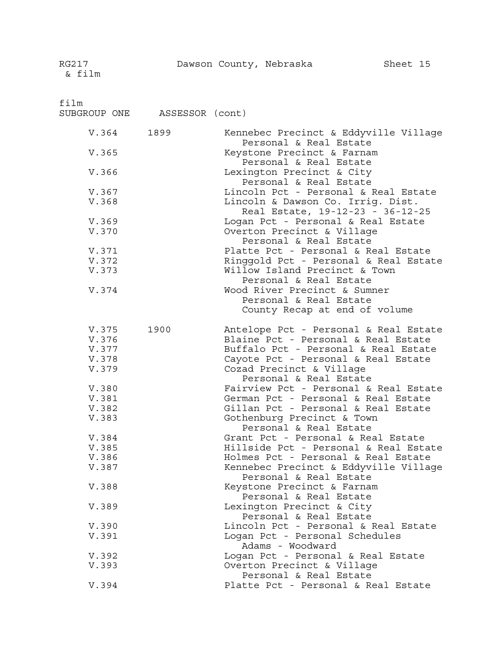film

| SUBGROUP ONE | ASSESSOR (cont) |  |
|--------------|-----------------|--|

| V.364 1899     |      | Kennebec Precinct & Eddyville Village                                      |
|----------------|------|----------------------------------------------------------------------------|
| V.365          |      | Personal & Real Estate<br>Keystone Precinct & Farnam                       |
|                |      | Personal & Real Estate                                                     |
| V.366          |      | Lexington Precinct & City<br>Personal & Real Estate                        |
| V.367          |      | Lincoln Pct - Personal & Real Estate                                       |
| V.368          |      | Lincoln & Dawson Co. Irrig. Dist.<br>Real Estate, 19-12-23 - 36-12-25      |
| V.369          |      | Logan Pct - Personal & Real Estate                                         |
| V.370          |      | Overton Precinct & Village<br>Personal & Real Estate                       |
| V.371          |      | Platte Pct - Personal & Real Estate                                        |
| V.372          |      | Ringgold Pct - Personal & Real Estate                                      |
| V.373          |      | Willow Island Precinct & Town<br>Personal & Real Estate                    |
| V.374          |      | Wood River Precinct & Sumner                                               |
|                |      | Personal & Real Estate                                                     |
|                |      | County Recap at end of volume                                              |
| V.375          | 1900 | Antelope Pct - Personal & Real Estate                                      |
| V.376          |      | Blaine Pct - Personal & Real Estate                                        |
| V.377          |      | Buffalo Pct - Personal & Real Estate                                       |
| V.378          |      | Cayote Pct - Personal & Real Estate                                        |
| V.379          |      | Cozad Precinct & Village                                                   |
|                |      | Personal & Real Estate                                                     |
| V.380          |      | Fairview Pct - Personal & Real Estate                                      |
| V.381<br>V.382 |      | German Pct - Personal & Real Estate<br>Gillan Pct - Personal & Real Estate |
| V.383          |      | Gothenburg Precinct & Town                                                 |
|                |      | Personal & Real Estate                                                     |
| V.384          |      | Grant Pct - Personal & Real Estate                                         |
| V.385          |      | Hillside Pct - Personal & Real Estate                                      |
| V.386          |      | Holmes Pct - Personal & Real Estate                                        |
| V.387          |      | Kennebec Precinct & Eddyville Village<br>Personal & Real Estate            |
| V.388          |      | Keystone Precinct & Farnam<br>Personal & Real Estate                       |
| V.389          |      | Lexington Precinct & City                                                  |
|                |      | Personal & Real Estate                                                     |
| V.390          |      | Lincoln Pct - Personal & Real Estate                                       |
| V.391          |      | Logan Pct - Personal Schedules<br>Adams - Woodward                         |
| V.392          |      | Logan Pct - Personal & Real Estate                                         |
| V.393          |      | Overton Precinct & Village                                                 |
|                |      | Personal & Real Estate                                                     |
| V.394          |      | Platte Pct - Personal & Real Estate                                        |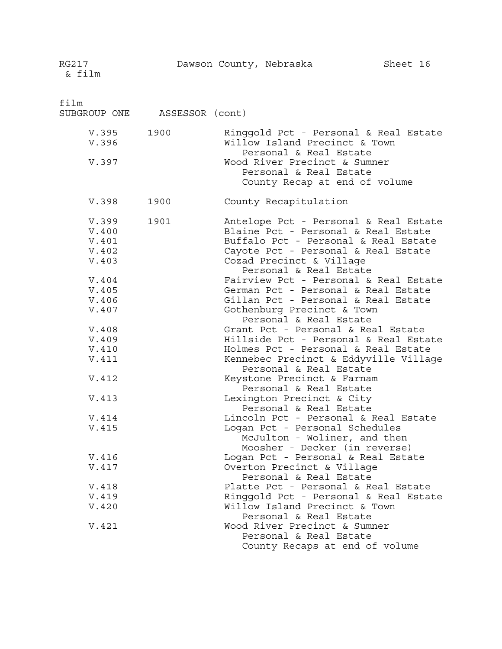film

| SUBGROUP ONE                                                                                                                                                            | ASSESSOR (cont) |                                                                                                                                                                                                                                                                                                                                                                                                                                                                                                                                                                                                                                                                                                                                                                                                                                                                                                                         |
|-------------------------------------------------------------------------------------------------------------------------------------------------------------------------|-----------------|-------------------------------------------------------------------------------------------------------------------------------------------------------------------------------------------------------------------------------------------------------------------------------------------------------------------------------------------------------------------------------------------------------------------------------------------------------------------------------------------------------------------------------------------------------------------------------------------------------------------------------------------------------------------------------------------------------------------------------------------------------------------------------------------------------------------------------------------------------------------------------------------------------------------------|
| V.395<br>V.396<br>V.397                                                                                                                                                 | 1900            | Ringgold Pct - Personal & Real Estate<br>Willow Island Precinct & Town<br>Personal & Real Estate<br>Wood River Precinct & Sumner<br>Personal & Real Estate<br>County Recap at end of volume                                                                                                                                                                                                                                                                                                                                                                                                                                                                                                                                                                                                                                                                                                                             |
| V.398                                                                                                                                                                   | 1900            | County Recapitulation                                                                                                                                                                                                                                                                                                                                                                                                                                                                                                                                                                                                                                                                                                                                                                                                                                                                                                   |
| V.399<br>V.400<br>V.401<br>V.402<br>V.403<br>V.404<br>V.405<br>V.406<br>V.407<br>V.408<br>V.409<br>V.410<br>V.411<br>V.412<br>V.413<br>V.414<br>V.415<br>V.416<br>V.417 | 1901            | Antelope Pct - Personal & Real Estate<br>Blaine Pct - Personal & Real Estate<br>Buffalo Pct - Personal & Real Estate<br>Cayote Pct - Personal & Real Estate<br>Cozad Precinct & Village<br>Personal & Real Estate<br>Fairview Pct - Personal & Real Estate<br>German Pct - Personal & Real Estate<br>Gillan Pct - Personal & Real Estate<br>Gothenburg Precinct & Town<br>Personal & Real Estate<br>Grant Pct - Personal & Real Estate<br>Hillside Pct - Personal & Real Estate<br>Holmes Pct - Personal & Real Estate<br>Kennebec Precinct & Eddyville Village<br>Personal & Real Estate<br>Keystone Precinct & Farnam<br>Personal & Real Estate<br>Lexington Precinct & City<br>Personal & Real Estate<br>Lincoln Pct - Personal & Real Estate<br>Logan Pct - Personal Schedules<br>McJulton - Woliner, and then<br>Moosher - Decker (in reverse)<br>Logan Pct - Personal & Real Estate<br>Overton Precinct & Village |
| V.418<br>V.419<br>V.420                                                                                                                                                 |                 | Personal & Real Estate<br>Platte Pct - Personal & Real Estate<br>Ringgold Pct - Personal & Real Estate<br>Willow Island Precinct & Town<br>Personal & Real Estate                                                                                                                                                                                                                                                                                                                                                                                                                                                                                                                                                                                                                                                                                                                                                       |
| V.421                                                                                                                                                                   |                 | Wood River Precinct & Sumner<br>Personal & Real Estate<br>County Recaps at end of volume                                                                                                                                                                                                                                                                                                                                                                                                                                                                                                                                                                                                                                                                                                                                                                                                                                |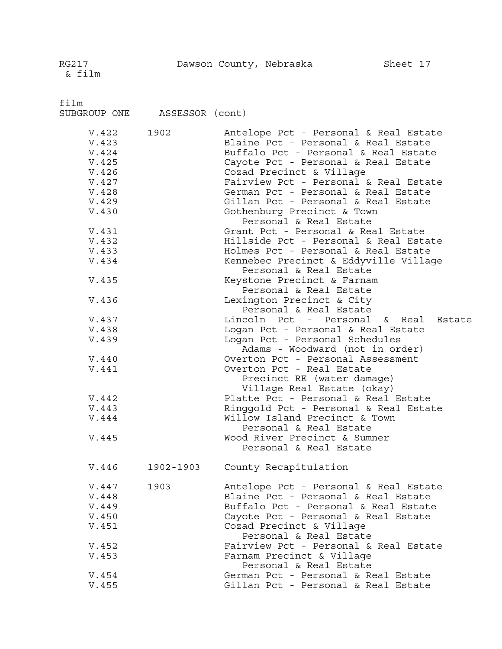RG217 Dawson County, Nebraska Sheet 17

film

SUBGROUP ONE ASSESSOR (cont)

| V.422 | 1902      | Antelope Pct - Personal & Real Estate                             |
|-------|-----------|-------------------------------------------------------------------|
| V.423 |           | Blaine Pct - Personal & Real Estate                               |
| V.424 |           | Buffalo Pct - Personal & Real Estate                              |
| V.425 |           | Cayote Pct - Personal & Real Estate                               |
| V.426 |           | Cozad Precinct & Village                                          |
| V.427 |           | Fairview Pct - Personal & Real Estate                             |
| V.428 |           | German Pct - Personal & Real Estate                               |
|       |           |                                                                   |
| V.429 |           | Gillan Pct - Personal & Real Estate                               |
| V.430 |           | Gothenburg Precinct & Town<br>Personal & Real Estate              |
| V.431 |           | Grant Pct - Personal & Real Estate                                |
| V.432 |           | Hillside Pct - Personal & Real Estate                             |
| V.433 |           | Holmes Pct - Personal & Real Estate                               |
| V.434 |           | Kennebec Precinct & Eddyville Village                             |
|       |           | Personal & Real Estate                                            |
| V.435 |           | Keystone Precinct & Farnam                                        |
|       |           | Personal & Real Estate                                            |
| V.436 |           | Lexington Precinct & City                                         |
|       |           | Personal & Real Estate                                            |
| V.437 |           | Lincoln Pct - Personal & Real Estate                              |
|       |           |                                                                   |
| V.438 |           | Logan Pct - Personal & Real Estate                                |
| V.439 |           | Logan Pct - Personal Schedules<br>Adams - Woodward (not in order) |
| V.440 |           | Overton Pct - Personal Assessment                                 |
| V.441 |           | Overton Pct - Real Estate                                         |
|       |           | Precinct RE (water damage)                                        |
|       |           | Village Real Estate (okay)                                        |
| V.442 |           | Platte Pct - Personal & Real Estate                               |
| V.443 |           | Ringgold Pct - Personal & Real Estate                             |
| V.444 |           | Willow Island Precinct & Town                                     |
|       |           | Personal & Real Estate                                            |
| V.445 |           | Wood River Precinct & Sumner                                      |
|       |           | Personal & Real Estate                                            |
|       |           |                                                                   |
| V.446 | 1902-1903 | County Recapitulation                                             |
| V.447 | 1903      | Antelope Pct - Personal & Real Estate                             |
| V.448 |           | Blaine Pct - Personal & Real Estate                               |
| V.449 |           | Buffalo Pct - Personal & Real Estate                              |
| V.450 |           | Cayote Pct - Personal & Real Estate                               |
| V.451 |           | Cozad Precinct & Village                                          |
|       |           | Personal & Real Estate                                            |
| V.452 |           | Fairview Pct - Personal & Real Estate                             |
| V.453 |           | Farnam Precinct & Village                                         |
|       |           | Personal & Real Estate                                            |
| V.454 |           | German Pct - Personal & Real Estate                               |
| V.455 |           | Gillan Pct - Personal & Real Estate                               |
|       |           |                                                                   |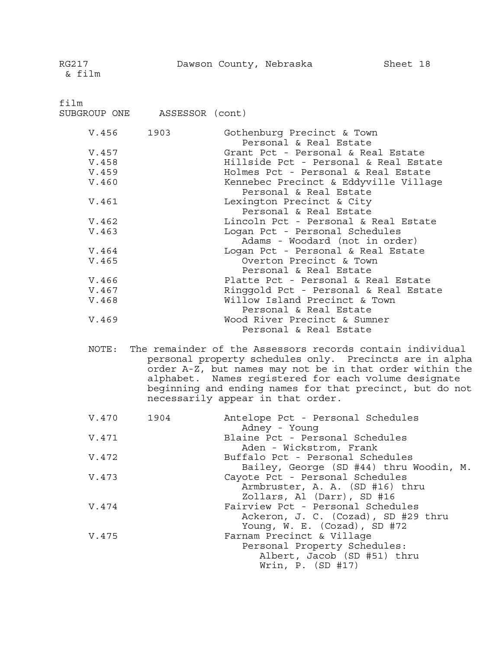film

SUBGROUP ONE ASSESSOR (cont)

| V.456 1903 | Gothenburg Precinct & Town<br>Personal & Real Estate             |
|------------|------------------------------------------------------------------|
| V.457      | Grant Pct - Personal & Real Estate                               |
| V.458      | Hillside Pct - Personal & Real Estate                            |
| V.459      | Holmes Pct - Personal & Real Estate                              |
| V.460      | Kennebec Precinct & Eddyville Village<br>Personal & Real Estate  |
| V.461      | Lexington Precinct & City<br>Personal & Real Estate              |
| V.462      | Lincoln Pct - Personal & Real Estate                             |
| V.463      | Logan Pct - Personal Schedules<br>Adams - Woodard (not in order) |
| V.464      | Logan Pct - Personal & Real Estate                               |
| V.465      | Overton Precinct & Town                                          |
|            | Personal & Real Estate                                           |
| V.466      | Platte Pct - Personal & Real Estate                              |
| V.467      | Ringgold Pct - Personal & Real Estate                            |
| V.468      | Willow Island Precinct & Town<br>Personal & Real Estate          |
| V.469      | Wood River Precinct & Sumner<br>Personal & Real Estate           |

NOTE: The remainder of the Assessors records contain individual personal property schedules only. Precincts are in alpha order A-Z, but names may not be in that order within the alphabet. Names registered for each volume designate beginning and ending names for that precinct, but do not necessarily appear in that order.

| V.470 1904 | Antelope Pct - Personal Schedules<br>Adney - Young                          |
|------------|-----------------------------------------------------------------------------|
| V.471      | Blaine Pct - Personal Schedules<br>Aden - Wickstrom, Frank                  |
| V.472      | Buffalo Pct - Personal Schedules<br>Bailey, George (SD #44) thru Woodin, M. |
| V.473      | Cayote Pct - Personal Schedules                                             |
|            | Armbruster, A. A. (SD #16) thru<br>Zollars, Al (Darr), SD #16               |
| V.474      | Fairview Pct - Personal Schedules<br>Ackeron, J. C. (Cozad), SD #29 thru    |
|            | Young, $W.E.$ (Cozad), SD #72                                               |
| V.475      | Farnam Precinct & Village                                                   |
|            | Personal Property Schedules:                                                |
|            | Albert, Jacob (SD #51) thru                                                 |
|            | Wrin, P. (SD #17)                                                           |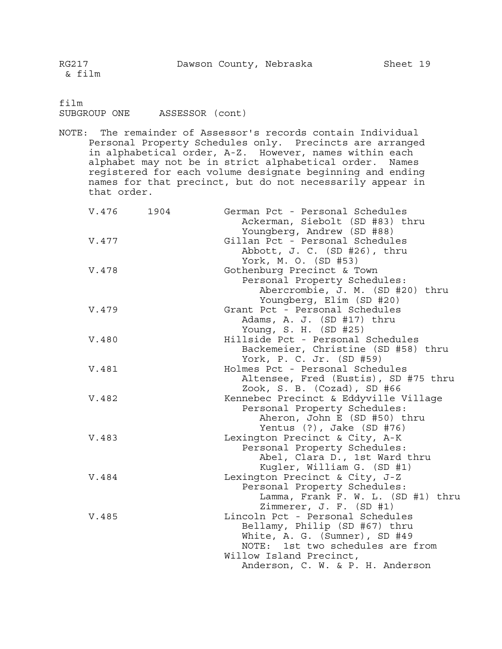film SUBGROUP ONE ASSESSOR (cont)

NOTE: The remainder of Assessor's records contain Individual Personal Property Schedules only. Precincts are arranged in alphabetical order, A-Z. However, names within each alphabet may not be in strict alphabetical order. Names registered for each volume designate beginning and ending names for that precinct, but do not necessarily appear in that order.

| V.476 | 1904 | German Pct - Personal Schedules<br>Ackerman, Siebolt (SD #83) thru<br>Youngberg, Andrew (SD #88) |
|-------|------|--------------------------------------------------------------------------------------------------|
|       |      | Gillan Pct - Personal Schedules                                                                  |
| V.477 |      |                                                                                                  |
|       |      | Abbott, J. C. (SD #26), thru                                                                     |
|       |      | York, M. O. (SD #53)                                                                             |
| V.478 |      | Gothenburg Precinct & Town                                                                       |
|       |      | Personal Property Schedules:                                                                     |
|       |      | Abercrombie, J. M. (SD #20) thru                                                                 |
|       |      | Youngberg, Elim (SD #20)                                                                         |
| V.479 |      | Grant Pct - Personal Schedules                                                                   |
|       |      | Adams, A. J. (SD #17) thru                                                                       |
|       |      | Young, S. H. (SD #25)                                                                            |
| V.480 |      | Hillside Pct - Personal Schedules                                                                |
|       |      | Backemeier, Christine (SD #58) thru                                                              |
|       |      | York, P. C. Jr. (SD #59)                                                                         |
| V.481 |      | Holmes Pct - Personal Schedules                                                                  |
|       |      | Altensee, Fred (Eustis), SD #75 thru                                                             |
|       |      | Zook, S. B. (Cozad), SD #66                                                                      |
| V.482 |      | Kennebec Precinct & Eddyville Village                                                            |
|       |      | Personal Property Schedules:                                                                     |
|       |      | Aheron, John E (SD #50) thru                                                                     |
|       |      | Yentus $(?)$ , Jake $(SD \#76)$                                                                  |
| V.483 |      | Lexington Precinct & City, A-K                                                                   |
|       |      | Personal Property Schedules:                                                                     |
|       |      | Abel, Clara D., 1st Ward thru                                                                    |
|       |      | Kugler, William G. (SD #1)                                                                       |
| V.484 |      | Lexington Precinct & City, J-Z                                                                   |
|       |      | Personal Property Schedules:                                                                     |
|       |      | Lamma, Frank F. W. L. (SD #1) thru                                                               |
|       |      | Zimmerer, J. F. (SD #1)                                                                          |
| V.485 |      | Lincoln Pct - Personal Schedules                                                                 |
|       |      | Bellamy, Philip (SD #67) thru                                                                    |
|       |      | White, A. G. (Sumner), SD #49                                                                    |
|       |      | NOTE: 1st two schedules are from                                                                 |
|       |      | Willow Island Precinct,                                                                          |
|       |      |                                                                                                  |
|       |      | Anderson, C. W. & P. H. Anderson                                                                 |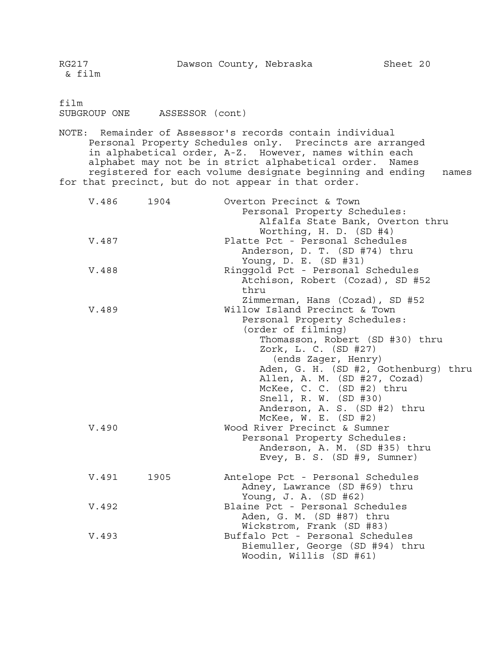NOTE: Remainder of Assessor's records contain individual Personal Property Schedules only. Precincts are arranged in alphabetical order, A-Z. However, names within each alphabet may not be in strict alphabetical order. Names registered for each volume designate beginning and ending names for that precinct, but do not appear in that order.

| V.486 1904 |      | Overton Precinct & Town              |
|------------|------|--------------------------------------|
|            |      | Personal Property Schedules:         |
|            |      | Alfalfa State Bank, Overton thru     |
|            |      | Worthing, H. D. (SD #4)              |
| V.487      |      | Platte Pct - Personal Schedules      |
|            |      | Anderson, D. T. (SD #74) thru        |
|            |      | Young, D. E. (SD #31)                |
| V.488      |      | Ringgold Pct - Personal Schedules    |
|            |      |                                      |
|            |      | Atchison, Robert (Cozad), SD #52     |
|            |      | thru                                 |
|            |      | Zimmerman, Hans (Cozad), SD #52      |
| V.489      |      | Willow Island Precinct & Town        |
|            |      | Personal Property Schedules:         |
|            |      | (order of filming)                   |
|            |      | Thomasson, Robert (SD #30) thru      |
|            |      | Zork, L. C. (SD #27)                 |
|            |      | (ends Zager, Henry)                  |
|            |      | Aden, G. H. (SD #2, Gothenburg) thru |
|            |      | Allen, A. M. (SD #27, Cozad)         |
|            |      | McKee, C. C. (SD #2) thru            |
|            |      | Snell, R. W. (SD #30)                |
|            |      | Anderson, A. S. (SD #2) thru         |
|            |      | McKee, $W. E. (SD #2)$               |
| V.490      |      | Wood River Precinct & Sumner         |
|            |      | Personal Property Schedules:         |
|            |      |                                      |
|            |      | Anderson, A. M. (SD #35) thru        |
|            |      | Evey, B. S. (SD #9, Sumner)          |
|            |      |                                      |
| V.491      | 1905 | Antelope Pct - Personal Schedules    |
|            |      | Adney, Lawrance (SD #69) thru        |
|            |      | Young, J. A. (SD #62)                |
| V.492      |      | Blaine Pct - Personal Schedules      |
|            |      | Aden, G. M. (SD #87) thru            |
|            |      | Wickstrom, Frank (SD #83)            |
| V.493      |      | Buffalo Pct - Personal Schedules     |
|            |      | Biemuller, George (SD #94) thru      |
|            |      | Woodin, Willis (SD #61)              |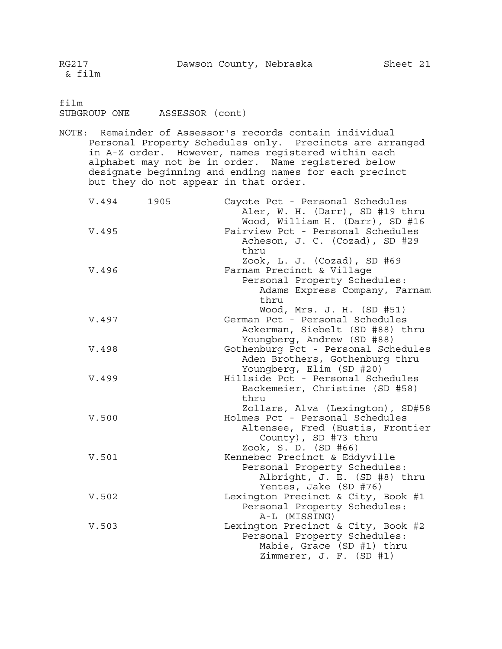film SUBGROUP ONE ASSESSOR (cont)

NOTE: Remainder of Assessor's records contain individual Personal Property Schedules only. Precincts are arranged in A-Z order. However, names registered within each alphabet may not be in order. Name registered below designate beginning and ending names for each precinct but they do not appear in that order.

| V.494 | 1905 | Cayote Pct - Personal Schedules<br>Aler, W. H. (Darr), SD #19 thru |
|-------|------|--------------------------------------------------------------------|
|       |      | Wood, William H. (Darr), SD #16                                    |
| V.495 |      | Fairview Pct - Personal Schedules                                  |
|       |      | Acheson, J. C. (Cozad), SD #29                                     |
|       |      | thru                                                               |
|       |      | Zook, L. J. (Cozad), SD #69                                        |
| V.496 |      | Farnam Precinct & Village                                          |
|       |      | Personal Property Schedules:                                       |
|       |      | Adams Express Company, Farnam                                      |
|       |      | thru                                                               |
|       |      | Wood, Mrs. J. H. (SD #51)                                          |
| V.497 |      | German Pct - Personal Schedules                                    |
|       |      | Ackerman, Siebelt (SD #88) thru                                    |
|       |      | Youngberg, Andrew (SD #88)                                         |
| V.498 |      | Gothenburg Pct - Personal Schedules                                |
|       |      | Aden Brothers, Gothenburg thru                                     |
|       |      | Youngberg, Elim (SD #20)                                           |
| V.499 |      | Hillside Pct - Personal Schedules                                  |
|       |      | Backemeier, Christine (SD #58)                                     |
|       |      | thru                                                               |
|       |      | Zollars, Alva (Lexington), SD#58                                   |
| V.500 |      | Holmes Pct - Personal Schedules                                    |
|       |      |                                                                    |
|       |      | Altensee, Fred (Eustis, Frontier                                   |
|       |      | County), SD #73 thru                                               |
|       |      | Zook, S. D. (SD #66)                                               |
| V.501 |      | Kennebec Precinct & Eddyville                                      |
|       |      | Personal Property Schedules:                                       |
|       |      | Albright, J. E. (SD #8) thru                                       |
|       |      | Yentes, Jake (SD #76)                                              |
| V.502 |      | Lexington Precinct & City, Book #1                                 |
|       |      | Personal Property Schedules:                                       |
|       |      | A-L (MISSING)                                                      |
| V.503 |      | Lexington Precinct & City, Book #2                                 |
|       |      | Personal Property Schedules:                                       |
|       |      | Mabie, Grace (SD #1) thru                                          |
|       |      | Zimmerer, J. F. (SD #1)                                            |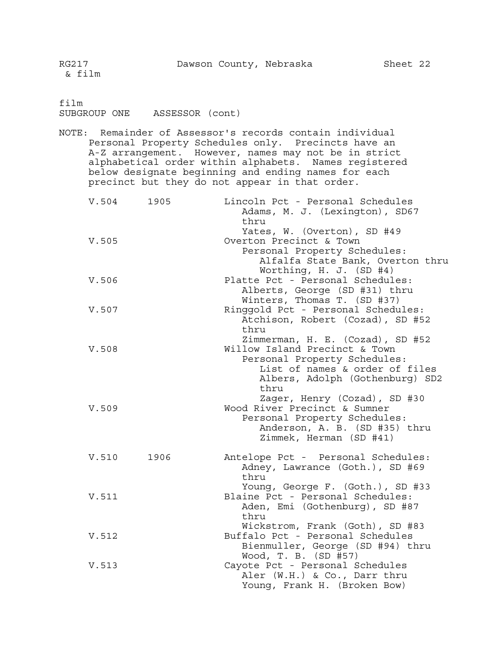film

SUBGROUP ONE ASSESSOR (cont)

NOTE: Remainder of Assessor's records contain individual Personal Property Schedules only. Precincts have an A-Z arrangement. However, names may not be in strict alphabetical order within alphabets. Names registered below designate beginning and ending names for each precinct but they do not appear in that order.

| V.504 1905 |      | Lincoln Pct - Personal Schedules<br>Adams, M. J. (Lexington), SD67<br>thru                                                                                                     |
|------------|------|--------------------------------------------------------------------------------------------------------------------------------------------------------------------------------|
| V.505      |      | Yates, W. (Overton), SD #49<br>Overton Precinct & Town<br>Personal Property Schedules:<br>Alfalfa State Bank, Overton thru<br>Worthing, H. J. (SD #4)                          |
| V.506      |      | Platte Pct - Personal Schedules:<br>Alberts, George (SD #31) thru<br>Winters, Thomas T. (SD #37)                                                                               |
| V.507      |      | Ringgold Pct - Personal Schedules:<br>Atchison, Robert (Cozad), SD #52<br>thru                                                                                                 |
| V.508      |      | Zimmerman, H. E. (Cozad), SD #52<br>Willow Island Precinct & Town<br>Personal Property Schedules:<br>List of names & order of files<br>Albers, Adolph (Gothenburg) SD2<br>thru |
| V.509      |      | Zager, Henry (Cozad), SD #30<br>Wood River Precinct & Sumner<br>Personal Property Schedules:<br>Anderson, A. B. (SD #35) thru<br>Zimmek, Herman (SD #41)                       |
| V.510      | 1906 | Antelope Pct - Personal Schedules:<br>Adney, Lawrance (Goth.), SD #69<br>thru                                                                                                  |
| V.511      |      | Young, George F. (Goth.), SD #33<br>Blaine Pct - Personal Schedules:<br>Aden, Emi (Gothenburg), SD #87<br>thru                                                                 |
| V.512      |      | Wickstrom, Frank (Goth), SD #83<br>Buffalo Pct - Personal Schedules<br>Bienmuller, George (SD #94) thru                                                                        |
| V.513      |      | Wood, T. B. (SD #57)<br>Cayote Pct - Personal Schedules<br>Aler (W.H.) & Co., Darr thru<br>Young, Frank H. (Broken Bow)                                                        |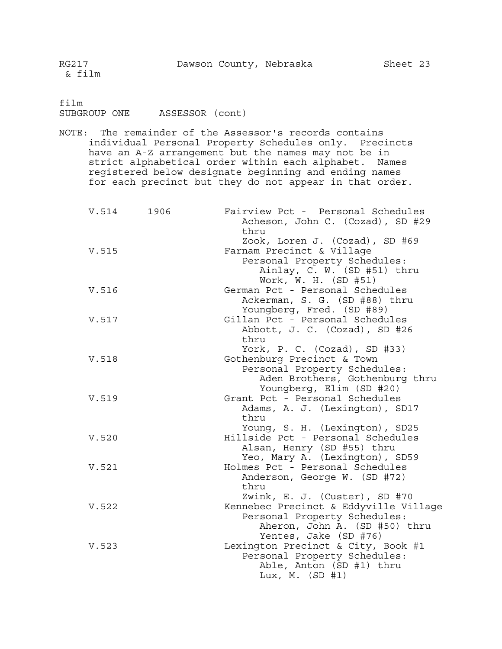film SUBGROUP ONE ASSESSOR (cont)

NOTE: The remainder of the Assessor's records contains individual Personal Property Schedules only. Precincts have an A-Z arrangement but the names may not be in strict alphabetical order within each alphabet. Names registered below designate beginning and ending names for each precinct but they do not appear in that order.

| V.514 1906 | Fairview Pct - Personal Schedules<br>Acheson, John C. (Cozad), SD #29<br>thru                                                                                    |
|------------|------------------------------------------------------------------------------------------------------------------------------------------------------------------|
| V.515      | Zook, Loren J. (Cozad), SD #69<br>Farnam Precinct & Village<br>Personal Property Schedules:<br>Ainlay, C. W. (SD #51) thru<br>Work, W. H. (SD #51)               |
| V.516      | German Pct - Personal Schedules<br>Ackerman, S. G. (SD #88) thru<br>Youngberg, Fred. (SD #89)                                                                    |
| V.517      | Gillan Pct - Personal Schedules<br>Abbott, J. C. (Cozad), SD #26<br>thru                                                                                         |
| V.518      | York, P. C. (Cozad), SD #33)<br>Gothenburg Precinct & Town<br>Personal Property Schedules:<br>Aden Brothers, Gothenburg thru<br>Youngberg, Elim (SD #20)         |
| V.519      | Grant Pct - Personal Schedules<br>Adams, A. J. (Lexington), SD17<br>thru<br>Young, S. H. (Lexington), SD25                                                       |
| V.520      | Hillside Pct - Personal Schedules<br>Alsan, Henry (SD #55) thru<br>Yeo, Mary A. (Lexington), SD59                                                                |
| V.521      | Holmes Pct - Personal Schedules<br>Anderson, George W. (SD #72)<br>thru                                                                                          |
| V.522      | Zwink, E. J. (Custer), SD #70<br>Kennebec Precinct & Eddyville Village<br>Personal Property Schedules:<br>Aheron, John A. (SD #50) thru<br>Yentes, Jake (SD #76) |
| V.523      | Lexington Precinct & City, Book #1<br>Personal Property Schedules:<br>Able, Anton (SD #1) thru<br>Lux, M. $(SD \#1)$                                             |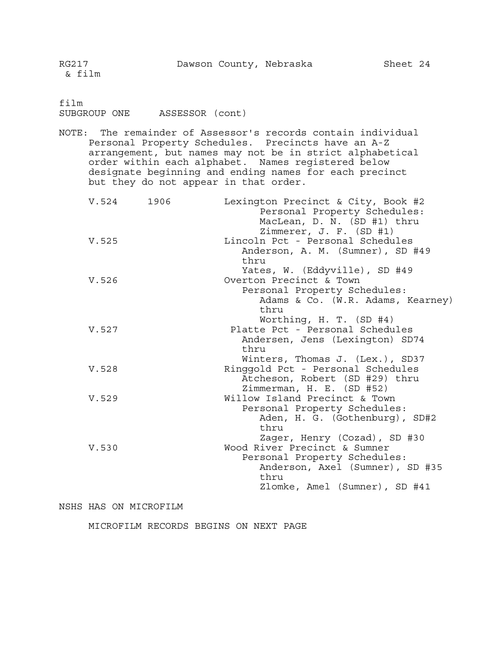film

SUBGROUP ONE ASSESSOR (cont)

NOTE: The remainder of Assessor's records contain individual Personal Property Schedules. Precincts have an A-Z arrangement, but names may not be in strict alphabetical order within each alphabet. Names registered below designate beginning and ending names for each precinct but they do not appear in that order.

| V.524 1906 | Lexington Precinct & City, Book #2<br>Personal Property Schedules:<br>MacLean, D. N. (SD #1) thru<br>Zimmerer, J. F. (SD #1)            |
|------------|-----------------------------------------------------------------------------------------------------------------------------------------|
| V.525      | Lincoln Pct - Personal Schedules<br>Anderson, A. M. (Sumner), SD #49<br>thru                                                            |
| V.526      | Yates, W. (Eddyville), SD #49<br>Overton Precinct & Town                                                                                |
|            | Personal Property Schedules:<br>Adams & Co. (W.R. Adams, Kearney)<br>thru                                                               |
| V.527      | Worthing, H. T. (SD #4)<br>Platte Pct - Personal Schedules<br>Andersen, Jens (Lexington) SD74<br>thru                                   |
| V.528      | Winters, Thomas J. (Lex.), SD37<br>Ringgold Pct - Personal Schedules<br>Atcheson, Robert (SD #29) thru                                  |
| V.529      | Zimmerman, H. E. (SD #52)<br>Willow Island Precinct & Town<br>Personal Property Schedules:<br>Aden, H. G. (Gothenburg), SD#2<br>thru    |
| V.530      | Zager, Henry (Cozad), SD #30<br>Wood River Precinct & Sumner<br>Personal Property Schedules:<br>Anderson, Axel (Sumner), SD #35<br>thru |
|            | Zlomke, Amel (Sumner), SD #41                                                                                                           |

#### NSHS HAS ON MICROFILM

MICROFILM RECORDS BEGINS ON NEXT PAGE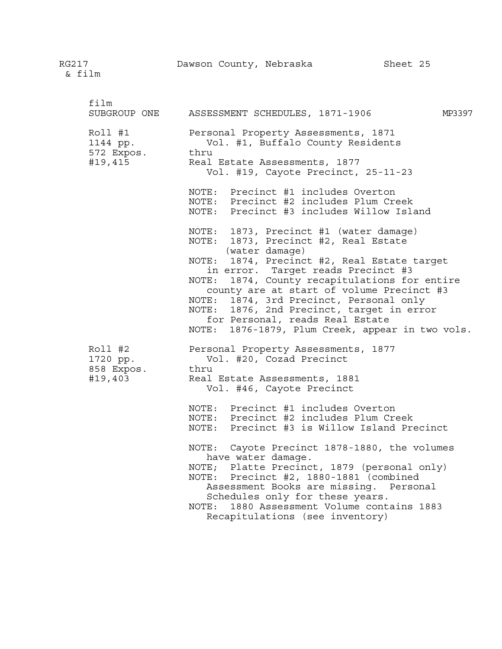| film<br>SUBGROUP ONE                         | ASSESSMENT SCHEDULES, 1871-1906<br>MP3397                                                                                                                                                                                                                                                                                                                                                                                                                                                                                                                                                           |
|----------------------------------------------|-----------------------------------------------------------------------------------------------------------------------------------------------------------------------------------------------------------------------------------------------------------------------------------------------------------------------------------------------------------------------------------------------------------------------------------------------------------------------------------------------------------------------------------------------------------------------------------------------------|
| Roll #1<br>1144 pp.<br>572 Expos.<br>#19,415 | Personal Property Assessments, 1871<br>Vol. #1, Buffalo County Residents<br>thru<br>Real Estate Assessments, 1877<br>Vol. #19, Cayote Precinct, 25-11-23                                                                                                                                                                                                                                                                                                                                                                                                                                            |
|                                              | NOTE: Precinct #1 includes Overton<br>NOTE: Precinct #2 includes Plum Creek<br>NOTE: Precinct #3 includes Willow Island                                                                                                                                                                                                                                                                                                                                                                                                                                                                             |
|                                              | NOTE: 1873, Precinct #1 (water damage)<br>NOTE: 1873, Precinct #2, Real Estate<br>(water damage)<br>NOTE: 1874, Precinct #2, Real Estate target<br>in error. Target reads Precinct #3<br>NOTE: 1874, County recapitulations for entire<br>county are at start of volume Precinct #3<br>NOTE: 1874, 3rd Precinct, Personal only<br>NOTE: 1876, 2nd Precinct, target in error<br>for Personal, reads Real Estate<br>NOTE: 1876-1879, Plum Creek, appear in two vols.                                                                                                                                  |
| Roll #2<br>1720 pp.<br>858 Expos.<br>#19,403 | Personal Property Assessments, 1877<br>Vol. #20, Cozad Precinct<br>thru<br>Real Estate Assessments, 1881<br>Vol. #46, Cayote Precinct<br>NOTE: Precinct #1 includes Overton<br>NOTE: Precinct #2 includes Plum Creek<br>NOTE: Precinct #3 is Willow Island Precinct<br>NOTE: Cayote Precinct 1878-1880, the volumes<br>have water damage.<br>NOTE; Platte Precinct, 1879 (personal only)<br>NOTE: Precinct #2, 1880-1881 (combined<br>Assessment Books are missing. Personal<br>Schedules only for these years.<br>1880 Assessment Volume contains 1883<br>NOTE:<br>Recapitulations (see inventory) |

# RG217 Dawson County, Nebraska Sheet 25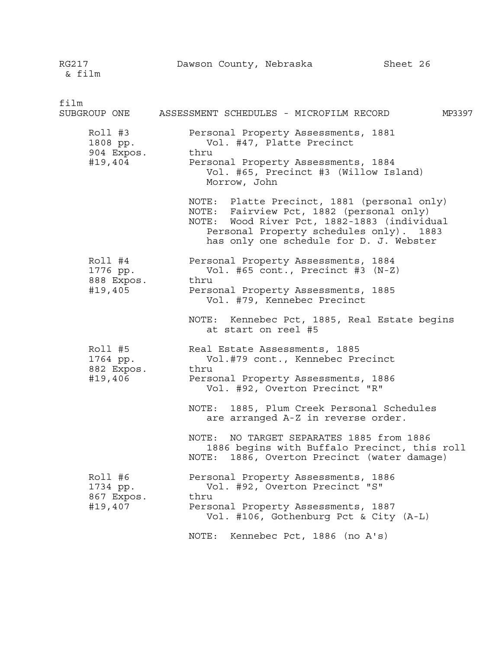RG217 Dawson County, Nebraska Sheet 26 & film film SUBGROUP ONE ASSESSMENT SCHEDULES - MICROFILM RECORD MP3397 Roll #3 Personal Property Assessments, 1881 1808 pp. Vol. #47, Platte Precinct 904 Expos. thru #19,404 Personal Property Assessments, 1884 Vol. #65, Precinct #3 (Willow Island) Morrow, John NOTE: Platte Precinct, 1881 (personal only) NOTE: Fairview Pct, 1882 (personal only) NOTE: Wood River Pct, 1882-1883 (individual Personal Property schedules only). 1883 has only one schedule for D. J. Webster Roll #4 Personal Property Assessments, 1884 1776 pp. Vol. #65 cont., Precinct #3 (N-Z) 888 Expos. thru #19,405 Personal Property Assessments, 1885 Vol. #79, Kennebec Precinct NOTE: Kennebec Pct, 1885, Real Estate begins at start on reel #5 Roll #5 Real Estate Assessments, 1885 1764 pp. Vol.#79 cont., Kennebec Precinct 882 Expos. thru #19,406 Personal Property Assessments, 1886 Vol. #92, Overton Precinct "R" NOTE: 1885, Plum Creek Personal Schedules are arranged A-Z in reverse order. NOTE: NO TARGET SEPARATES 1885 from 1886 1886 begins with Buffalo Precinct, this roll NOTE: 1886, Overton Precinct (water damage) Roll #6 Personal Property Assessments, 1886 1734 pp. Vol. #92, Overton Precinct "S" 867 Expos. thru #19,407 Personal Property Assessments, 1887 Vol. #106, Gothenburg Pct & City (A-L) NOTE: Kennebec Pct, 1886 (no A's)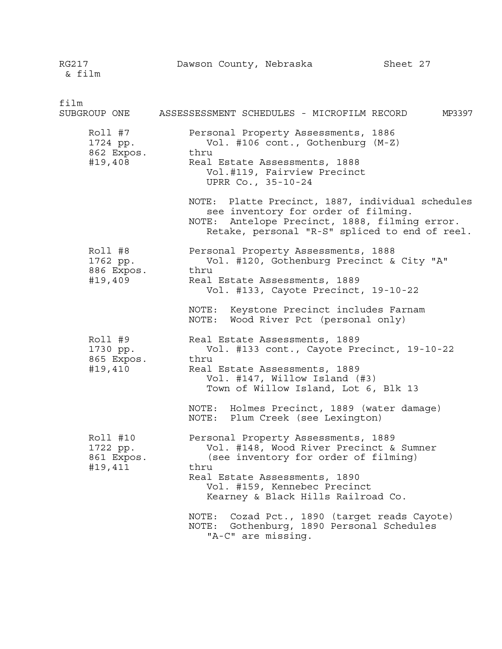RG217 Dawson County, Nebraska Sheet 27 & film film SUBGROUP ONE ASSESSESSMENT SCHEDULES - MICROFILM RECORD MP3397 Roll #7 Personal Property Assessments, 1886 1724 pp. Vol. #106 cont., Gothenburg (M-Z) 862 Expos. thru #19,408 Real Estate Assessments, 1888 Vol.#119, Fairview Precinct UPRR Co., 35-10-24 NOTE: Platte Precinct, 1887, individual schedules see inventory for order of filming. NOTE: Antelope Precinct, 1888, filming error. Retake, personal "R-S" spliced to end of reel. Roll #8 Personal Property Assessments, 1888 1762 pp. Vol. #120, Gothenburg Precinct & City "A" 886 Expos. thru #19,409 Real Estate Assessments, 1889 Vol. #133, Cayote Precinct, 19-10-22 NOTE: Keystone Precinct includes Farnam NOTE: Wood River Pct (personal only) Roll #9 Real Estate Assessments, 1889 1730 pp. Vol. #133 cont., Cayote Precinct, 19-10-22 865 Expos. thru #19,410 Real Estate Assessments, 1889 Vol. #147, Willow Island (#3) Town of Willow Island, Lot 6, Blk 13 NOTE: Holmes Precinct, 1889 (water damage) NOTE: Plum Creek (see Lexington) Roll #10 Personal Property Assessments, 1889 1722 pp. Vol. #148, Wood River Precinct & Sumner 861 Expos. (see inventory for order of filming) #19,411 thru Real Estate Assessments, 1890 Vol. #159, Kennebec Precinct Kearney & Black Hills Railroad Co. NOTE: Cozad Pct., 1890 (target reads Cayote) NOTE: Gothenburg, 1890 Personal Schedules "A-C" are missing.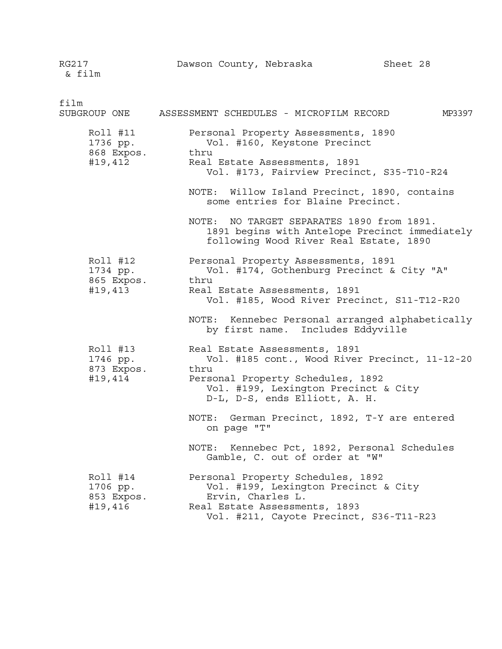RG217 **Dawson County, Nebraska** Sheet 28 & film film SUBGROUP ONE ASSESSMENT SCHEDULES - MICROFILM RECORD MP3397 Roll #11 Personal Property Assessments, 1890 1736 pp. Vol. #160, Keystone Precinct 868 Expos. thru #19,412 Real Estate Assessments, 1891 Vol. #173, Fairview Precinct, S35-T10-R24 NOTE: Willow Island Precinct, 1890, contains some entries for Blaine Precinct. NOTE: NO TARGET SEPARATES 1890 from 1891. 1891 begins with Antelope Precinct immediately following Wood River Real Estate, 1890 Roll #12 Personal Property Assessments, 1891 1734 pp. Vol. #174, Gothenburg Precinct & City "A" 865 Expos. thru #19,413 Real Estate Assessments, 1891 Vol. #185, Wood River Precinct, S11-T12-R20 NOTE: Kennebec Personal arranged alphabetically by first name. Includes Eddyville Roll #13 Real Estate Assessments, 1891 1746 pp. Vol. #185 cont., Wood River Precinct, 11-12-20 873 Expos. thru #19,414 Personal Property Schedules, 1892 Vol. #199, Lexington Precinct & City D-L, D-S, ends Elliott, A. H. NOTE: German Precinct, 1892, T-Y are entered on page "T" NOTE: Kennebec Pct, 1892, Personal Schedules Gamble, C. out of order at "W" Roll #14 Personal Property Schedules, 1892 1706 pp. Vol. #199, Lexington Precinct & City 853 Expos. Ervin, Charles L. #19,416 Real Estate Assessments, 1893 Vol. #211, Cayote Precinct, S36-T11-R23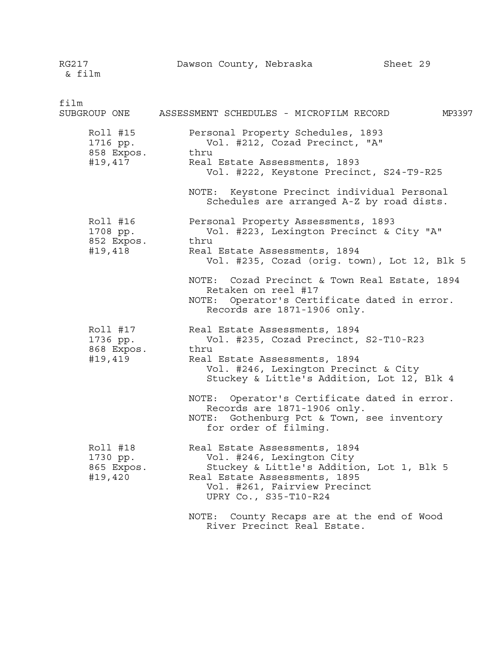RG217 Dawson County, Nebraska Sheet 29 & film

film SUBGROUP ONE ASSESSMENT SCHEDULES - MICROFILM RECORD MP3397 Roll #15 Personal Property Schedules, 1893 1716 pp. Vol. #212, Cozad Precinct, "A" 858 Expos. thru #19,417 Real Estate Assessments, 1893 Vol. #222, Keystone Precinct, S24-T9-R25 NOTE: Keystone Precinct individual Personal Schedules are arranged A-Z by road dists. Roll #16 Personal Property Assessments, 1893 1708 pp. Vol. #223, Lexington Precinct & City "A" 852 Expos. thru #19,418 Real Estate Assessments, 1894 Vol. #235, Cozad (orig. town), Lot 12, Blk 5 NOTE: Cozad Precinct & Town Real Estate, 1894 Retaken on reel #17 NOTE: Operator's Certificate dated in error. Records are 1871-1906 only. Roll #17 Real Estate Assessments, 1894 1736 pp. Vol. #235, Cozad Precinct, S2-T10-R23 868 Expos. thru #19,419 Real Estate Assessments, 1894 Vol. #246, Lexington Precinct & City Stuckey & Little's Addition, Lot 12, Blk 4 NOTE: Operator's Certificate dated in error. Records are 1871-1906 only. NOTE: Gothenburg Pct & Town, see inventory for order of filming. Roll #18 Real Estate Assessments, 1894 1730 pp. Vol. #246, Lexington City 865 Expos. Stuckey & Little's Addition, Lot 1, Blk 5 #19,420 Real Estate Assessments, 1895 Vol. #261, Fairview Precinct UPRY Co., S35-T10-R24 NOTE: County Recaps are at the end of Wood

River Precinct Real Estate.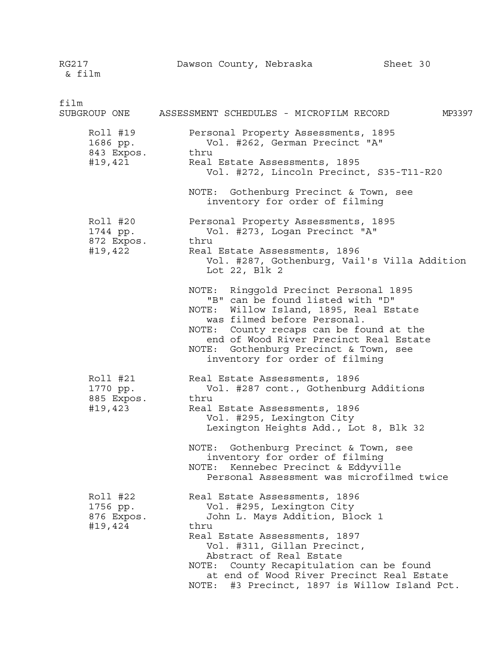& film film SUBGROUP ONE ASSESSMENT SCHEDULES - MICROFILM RECORD MP3397 Roll #19 Personal Property Assessments, 1895 1686 pp. Vol. #262, German Precinct "A" 843 Expos. thru #19,421 Real Estate Assessments, 1895 Vol. #272, Lincoln Precinct, S35-T11-R20 NOTE: Gothenburg Precinct & Town, see inventory for order of filming Roll #20 Personal Property Assessments, 1895 1744 pp. Vol. #273, Logan Precinct "A" 872 Expos. thru #19,422 Real Estate Assessments, 1896 Vol. #287, Gothenburg, Vail's Villa Addition Lot 22, Blk 2 NOTE: Ringgold Precinct Personal 1895 "B" can be found listed with "D" NOTE: Willow Island, 1895, Real Estate was filmed before Personal. NOTE: County recaps can be found at the end of Wood River Precinct Real Estate NOTE: Gothenburg Precinct & Town, see inventory for order of filming Roll #21 Real Estate Assessments, 1896 1770 pp. Vol. #287 cont., Gothenburg Additions 885 Expos. thru #19,423 Real Estate Assessments, 1896 Vol. #295, Lexington City Lexington Heights Add., Lot 8, Blk 32 NOTE: Gothenburg Precinct & Town, see inventory for order of filming NOTE: Kennebec Precinct & Eddyville Personal Assessment was microfilmed twice Roll #22 Real Estate Assessments, 1896 1756 pp. Vol. #295, Lexington City 876 Expos. John L. Mays Addition, Block 1 #19,424 thru Real Estate Assessments, 1897 Vol. #311, Gillan Precinct, Abstract of Real Estate NOTE: County Recapitulation can be found at end of Wood River Precinct Real Estate

NOTE: #3 Precinct, 1897 is Willow Island Pct.

RG217 Dawson County, Nebraska Sheet 30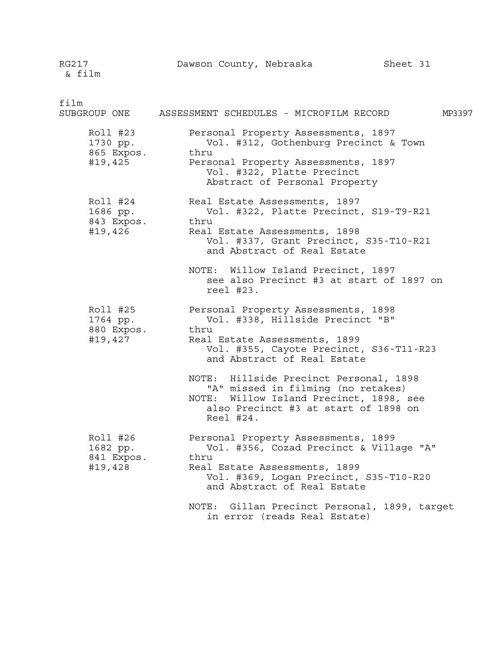RG217 Dawson County, Nebraska Sheet 31

film SUBGROUP ONE ASSESSMENT SCHEDULES - MICROFILM RECORD MP3397 Roll #23 Personal Property Assessments, 1897 1730 pp. Vol. #312, Gothenburg Precinct & Town 865 Expos. thru #19,425 Personal Property Assessments, 1897 Vol. #322, Platte Precinct Abstract of Personal Property Roll #24 Real Estate Assessments, 1897 1686 pp. Vol. #322, Platte Precinct, S19-T9-R21 843 Expos. thru #19,426 Real Estate Assessments, 1898 Vol. #337, Grant Precinct, S35-T10-R21 and Abstract of Real Estate NOTE: Willow Island Precinct, 1897 see also Precinct #3 at start of 1897 on reel #23. Roll #25 Personal Property Assessments, 1898 1764 pp. Vol. #338, Hillside Precinct "B" 880 Expos. thru #19,427 Real Estate Assessments, 1899 Vol. #355, Cayote Precinct, S36-T11-R23 and Abstract of Real Estate NOTE: Hillside Precinct Personal, 1898 "A" missed in filming (no retakes) NOTE: Willow Island Precinct, 1898, see also Precinct #3 at start of 1898 on Reel #24. Roll #26 Personal Property Assessments, 1899 1682 pp. Vol. #356, Cozad Precinct & Village "A" 841 Expos. thru #19,428 Real Estate Assessments, 1899 Vol. #369, Logan Precinct, S35-T10-R20 and Abstract of Real Estate NOTE: Gillan Precinct Personal, 1899, target in error (reads Real Estate)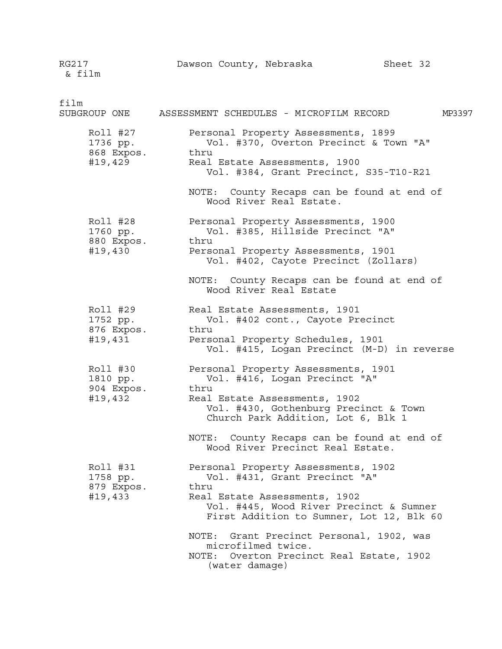RG217 Dawson County, Nebraska Sheet 32 & film film SUBGROUP ONE ASSESSMENT SCHEDULES - MICROFILM RECORD MP3397 Roll #27 Personal Property Assessments, 1899 1736 pp. Vol. #370, Overton Precinct & Town "A" 868 Expos. thru #19,429 Real Estate Assessments, 1900 Vol. #384, Grant Precinct, S35-T10-R21 NOTE: County Recaps can be found at end of Wood River Real Estate. Roll #28 Personal Property Assessments, 1900 1760 pp. Vol. #385, Hillside Precinct "A" 880 Expos. thru #19,430 Personal Property Assessments, 1901 Vol. #402, Cayote Precinct (Zollars) NOTE: County Recaps can be found at end of Wood River Real Estate Roll #29 Real Estate Assessments, 1901 1752 pp. Vol. #402 cont., Cayote Precinct 876 Expos. thru #19,431 Personal Property Schedules, 1901 Vol. #415, Logan Precinct (M-D) in reverse Roll #30 Personal Property Assessments, 1901 1810 pp. Vol. #416, Logan Precinct "A" 904 Expos. thru #19,432 Real Estate Assessments, 1902 Vol. #430, Gothenburg Precinct & Town Church Park Addition, Lot 6, Blk 1 NOTE: County Recaps can be found at end of Wood River Precinct Real Estate. Roll #31 Personal Property Assessments, 1902 1758 pp. Vol. #431, Grant Precinct "A" 879 Expos. thru #19,433 Real Estate Assessments, 1902 Vol. #445, Wood River Precinct & Sumner First Addition to Sumner, Lot 12, Blk 60 NOTE: Grant Precinct Personal, 1902, was microfilmed twice. NOTE: Overton Precinct Real Estate, 1902 (water damage)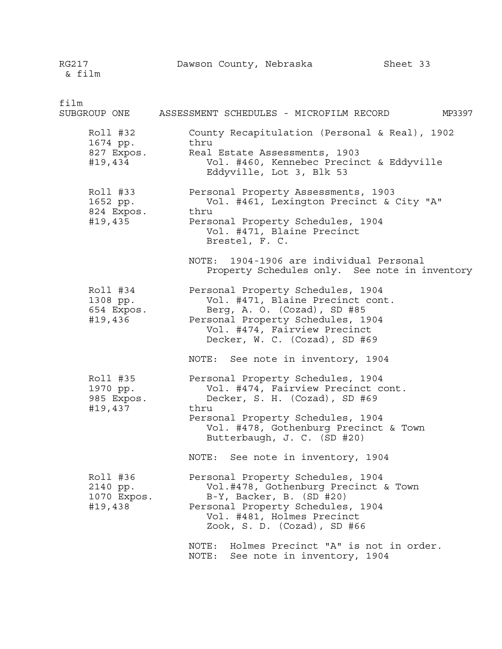RG217 Dawson County, Nebraska Sheet 33 & film

film SUBGROUP ONE ASSESSMENT SCHEDULES - MICROFILM RECORD MP3397 Roll #32 County Recapitulation (Personal & Real), 1902 1674 pp. thru 827 Expos. Real Estate Assessments, 1903 #19,434 Vol. #460, Kennebec Precinct & Eddyville Eddyville, Lot 3, Blk 53 Roll #33 Personal Property Assessments, 1903 1652 pp. Vol. #461, Lexington Precinct & City "A" 824 Expos. thru #19,435 Personal Property Schedules, 1904 Vol. #471, Blaine Precinct Brestel, F. C. NOTE: 1904-1906 are individual Personal Property Schedules only. See note in inventory Roll #34 Personal Property Schedules, 1904 1308 pp. Vol. #471, Blaine Precinct cont. 654 Expos. Berg, A. O. (Cozad), SD #85 #19,436 Personal Property Schedules, 1904 Vol. #474, Fairview Precinct Decker, W. C. (Cozad), SD #69 NOTE: See note in inventory, 1904 Roll #35 Personal Property Schedules, 1904 1970 pp. Vol. #474, Fairview Precinct cont. 985 Expos. Decker, S. H. (Cozad), SD #69 #19,437 thru Personal Property Schedules, 1904 Vol. #478, Gothenburg Precinct & Town Butterbaugh, J. C. (SD #20) NOTE: See note in inventory, 1904 Roll #36 Personal Property Schedules, 1904 2140 pp. Vol.#478, Gothenburg Precinct & Town  $B-Y$ , Backer, B. (SD #20) #19,438 Personal Property Schedules, 1904 Vol. #481, Holmes Precinct Zook, S. D. (Cozad), SD #66

> NOTE: Holmes Precinct "A" is not in order. NOTE: See note in inventory, 1904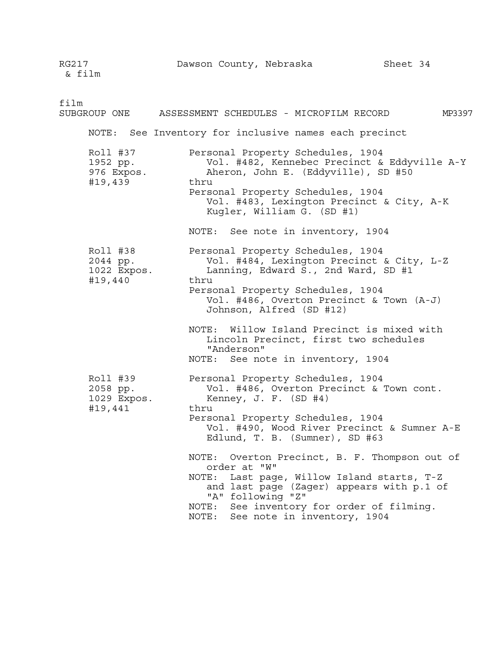RG217 **Dawson County, Nebraska** Sheet 34 & film film SUBGROUP ONE ASSESSMENT SCHEDULES - MICROFILM RECORD MP3397 NOTE: See Inventory for inclusive names each precinct Roll #37 Personal Property Schedules, 1904 1952 pp. Vol. #482, Kennebec Precinct & Eddyville A-Y 976 Expos. Aheron, John E. (Eddyville), SD #50 #19,439 thru Personal Property Schedules, 1904 Vol. #483, Lexington Precinct & City, A-K Kugler, William G. (SD #1) NOTE: See note in inventory, 1904 Roll #38 Personal Property Schedules, 1904 2044 pp. Vol. #484, Lexington Precinct & City, L-Z Lanning, Edward S., 2nd Ward, SD #1 #19,440 thru Personal Property Schedules, 1904 Vol. #486, Overton Precinct & Town (A-J) Johnson, Alfred (SD #12) NOTE: Willow Island Precinct is mixed with Lincoln Precinct, first two schedules "Anderson" NOTE: See note in inventory, 1904 Roll #39 Personal Property Schedules, 1904 2058 pp. Vol. #486, Overton Precinct & Town cont. 1029 Expos. Kenney, J. F. (SD #4) #19,441 thru Personal Property Schedules, 1904 Vol. #490, Wood River Precinct & Sumner A-E Edlund, T. B. (Sumner), SD #63 NOTE: Overton Precinct, B. F. Thompson out of order at "W" NOTE: Last page, Willow Island starts, T-Z and last page (Zager) appears with p.1 of "A" following "Z" NOTE: See inventory for order of filming. NOTE: See note in inventory, 1904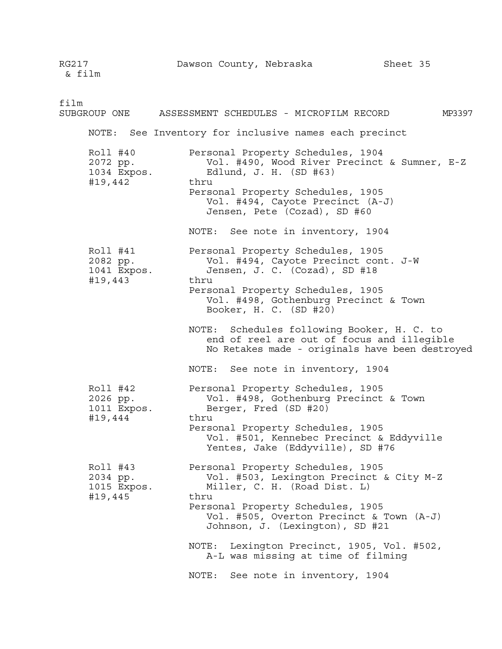RG217 Dawson County, Nebraska Sheet 35 & film film SUBGROUP ONE ASSESSMENT SCHEDULES - MICROFILM RECORD MP3397 NOTE: See Inventory for inclusive names each precinct Roll #40 Personal Property Schedules, 1904 2072 pp. Vol. #490, Wood River Precinct & Sumner, E-Z Edlund, J. H. (SD #63) #19,442 thru Personal Property Schedules, 1905 Vol. #494, Cayote Precinct (A-J) Jensen, Pete (Cozad), SD #60 NOTE: See note in inventory, 1904 Roll #41 Personal Property Schedules, 1905 2082 pp. Vol. #494, Cayote Precinct cont. J-W Jensen, J. C. (Cozad), SD #18 #19,443 thru Personal Property Schedules, 1905 Vol. #498, Gothenburg Precinct & Town Booker, H. C. (SD #20) NOTE: Schedules following Booker, H. C. to end of reel are out of focus and illegible No Retakes made - originals have been destroyed NOTE: See note in inventory, 1904 Roll #42 Personal Property Schedules, 1905 2026 pp. Vol. #498, Gothenburg Precinct & Town 1011 Expos. Berger, Fred (SD #20) #19,444 thru Personal Property Schedules, 1905 Vol. #501, Kennebec Precinct & Eddyville Yentes, Jake (Eddyville), SD #76 Roll #43 Personal Property Schedules, 1905 2034 pp. Vol. #503, Lexington Precinct & City M-Z 1015 Expos. Miller, C. H. (Road Dist. L) #19,445 thru Personal Property Schedules, 1905 Vol. #505, Overton Precinct & Town (A-J) Johnson, J. (Lexington), SD #21 NOTE: Lexington Precinct, 1905, Vol. #502, A-L was missing at time of filming NOTE: See note in inventory, 1904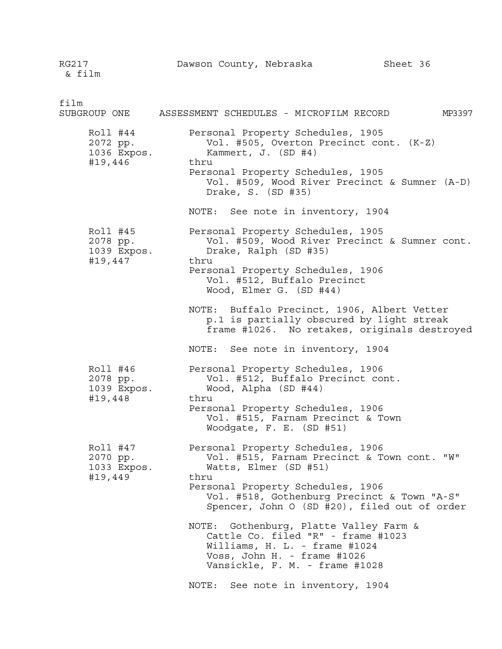RG217 Dawson County, Nebraska Sheet 36 & film

film SUBGROUP ONE ASSESSMENT SCHEDULES - MICROFILM RECORD MP3397 Roll #44 Personal Property Schedules, 1905 2072 pp. Vol. #505, Overton Precinct cont. (K-Z) 1036 Expos. Kammert, J. (SD #4) #19,446 thru Personal Property Schedules, 1905 Vol. #509, Wood River Precinct & Sumner (A-D) Drake, S. (SD #35) NOTE: See note in inventory, 1904 Roll #45 Personal Property Schedules, 1905 2078 pp. Vol. #509, Wood River Precinct & Sumner cont. 1039 Expos. Drake, Ralph (SD #35) #19,447 thru Personal Property Schedules, 1906 Vol. #512, Buffalo Precinct Wood, Elmer G. (SD #44) NOTE: Buffalo Precinct, 1906, Albert Vetter p.1 is partially obscured by light streak frame #1026. No retakes, originals destroyed NOTE: See note in inventory, 1904 Roll #46 Personal Property Schedules, 1906 2078 pp. Vol. #512, Buffalo Precinct cont. Wood, Alpha (SD #44) #19,448 thru Personal Property Schedules, 1906 Vol. #515, Farnam Precinct & Town Woodgate, F. E. (SD #51) Roll #47 Personal Property Schedules, 1906 2070 pp. Vol. #515, Farnam Precinct & Town cont. "W" 1033 Expos. Watts, Elmer (SD #51) #19,449 thru Personal Property Schedules, 1906 Vol. #518, Gothenburg Precinct & Town "A-S" Spencer, John O (SD #20), filed out of order NOTE: Gothenburg, Platte Valley Farm & Cattle Co. filed "R" - frame #1023 Williams, H. L. - frame #1024 Voss, John H. - frame #1026 Vansickle, F. M. - frame #1028

NOTE: See note in inventory, 1904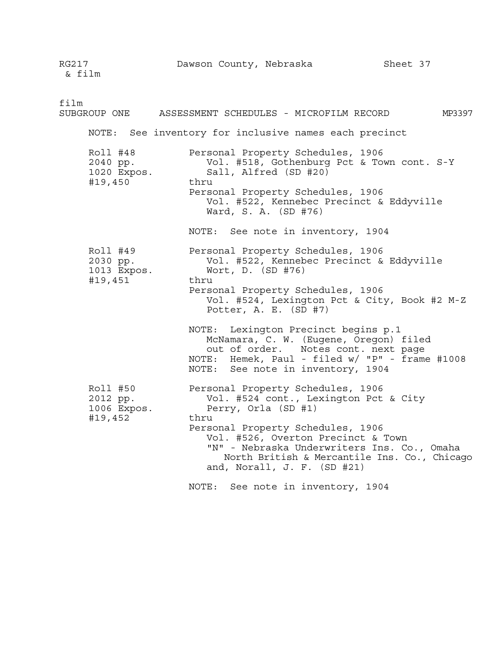RG217 Dawson County, Nebraska Sheet 37 & film film SUBGROUP ONE ASSESSMENT SCHEDULES - MICROFILM RECORD MP3397 NOTE: See inventory for inclusive names each precinct Roll #48 Personal Property Schedules, 1906 2040 pp. Vol. #518, Gothenburg Pct & Town cont. S-Y Sall, Alfred (SD #20) #19,450 thru Personal Property Schedules, 1906 Vol. #522, Kennebec Precinct & Eddyville Ward, S. A. (SD #76) NOTE: See note in inventory, 1904 Roll #49 Personal Property Schedules, 1906 2030 pp. Vol. #522, Kennebec Precinct & Eddyville Wort, D. (SD #76) #19,451 thru Personal Property Schedules, 1906 Vol. #524, Lexington Pct & City, Book #2 M-Z Potter, A. E. (SD #7) NOTE: Lexington Precinct begins p.1 McNamara, C. W. (Eugene, Oregon) filed out of order. Notes cont. next page NOTE: Hemek, Paul - filed w/ "P" - frame #1008 NOTE: See note in inventory, 1904 Roll #50 Personal Property Schedules, 1906 2012 pp. Vol. #524 cont., Lexington Pct & City 1006 Expos. Perry, Orla (SD #1) #19,452 thru Personal Property Schedules, 1906 Vol. #526, Overton Precinct & Town "N" - Nebraska Underwriters Ins. Co., Omaha North British & Mercantile Ins. Co., Chicago and, Norall, J. F. (SD #21) NOTE: See note in inventory, 1904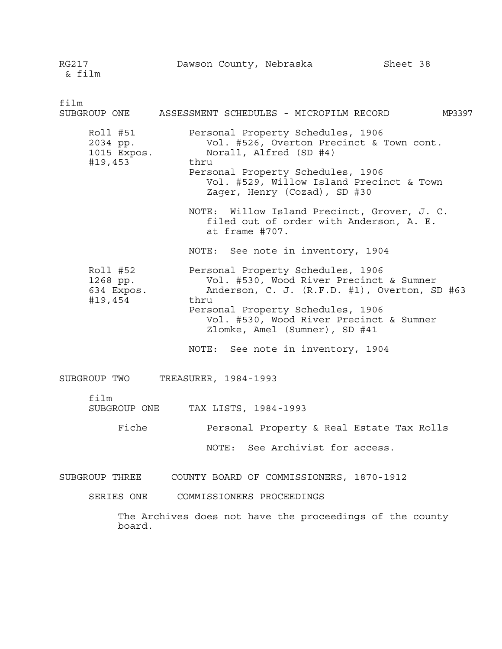RG217 Dawson County, Nebraska Sheet 38 & film film SUBGROUP ONE ASSESSMENT SCHEDULES - MICROFILM RECORD MP3397 Roll #51 Personal Property Schedules, 1906 2034 pp. Vol. #526, Overton Precinct & Town cont. 1015 Expos. Norall, Alfred (SD #4) #19,453 thru Personal Property Schedules, 1906 Vol. #529, Willow Island Precinct & Town Zager, Henry (Cozad), SD #30 NOTE: Willow Island Precinct, Grover, J. C. filed out of order with Anderson, A. E. at frame #707. NOTE: See note in inventory, 1904 Roll #52 Personal Property Schedules, 1906 1268 pp. Vol. #530, Wood River Precinct & Sumner 634 Expos. Anderson, C. J. (R.F.D. #1), Overton, SD #63 #19,454 thru Personal Property Schedules, 1906 Vol. #530, Wood River Precinct & Sumner Zlomke, Amel (Sumner), SD #41 NOTE: See note in inventory, 1904 SUBGROUP TWO TREASURER, 1984-1993 film SUBGROUP ONE TAX LISTS, 1984-1993

Fiche **Personal Property & Real Estate Tax Rolls** 

NOTE: See Archivist for access.

SUBGROUP THREE COUNTY BOARD OF COMMISSIONERS, 1870-1912

SERIES ONE COMMISSIONERS PROCEEDINGS

The Archives does not have the proceedings of the county board.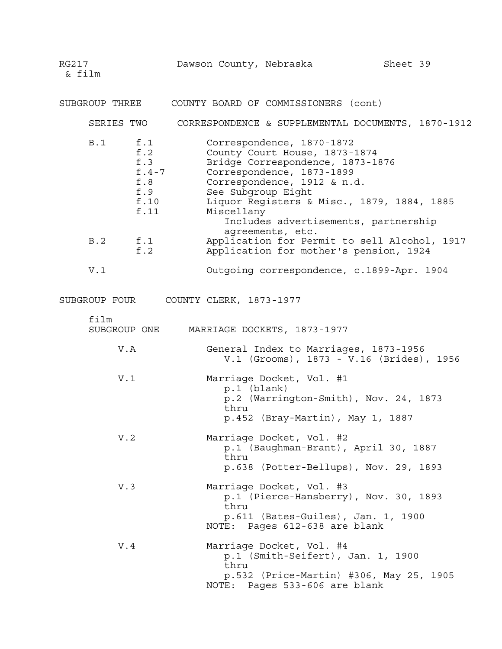& film SUBGROUP THREE COUNTY BOARD OF COMMISSIONERS (cont) SERIES TWO CORRESPONDENCE & SUPPLEMENTAL DOCUMENTS, 1870-1912 B.1 f.1 Correspondence, 1870-1872<br>f.2 County Court House, 1873-County Court House, 1873-1874 f.3 Bridge Correspondence, 1873-1876<br>f.4-7 Correspondence, 1873-1899 Correspondence, 1873-1899 f.8 Correspondence, 1912 & n.d. f.9 See Subgroup Eight f.10 Liquor Registers & Misc., 1879, 1884, 1885 f.11 Miscellany Includes advertisements, partnership agreements, etc. B.2 f.1 Application for Permit to sell Alcohol, 1917 f.2 Application for mother's pension, 1924 V.1 Outgoing correspondence, c.1899-Apr. 1904 SUBGROUP FOUR COUNTY CLERK, 1873-1977 film SUBGROUP ONE MARRIAGE DOCKETS, 1873-1977 V.A General Index to Marriages, 1873-1956 V.1 (Grooms), 1873 - V.16 (Brides), 1956 V.1 Marriage Docket, Vol. #1 p.1 (blank) p.2 (Warrington-Smith), Nov. 24, 1873 thru p.452 (Bray-Martin), May 1, 1887 V.2 Marriage Docket, Vol. #2 p.1 (Baughman-Brant), April 30, 1887 thru p.638 (Potter-Bellups), Nov. 29, 1893 V.3 Marriage Docket, Vol. #3 p.1 (Pierce-Hansberry), Nov. 30, 1893 thru p.611 (Bates-Guiles), Jan. 1, 1900 NOTE: Pages 612-638 are blank V.4 Marriage Docket, Vol. #4 p.1 (Smith-Seifert), Jan. 1, 1900 thru p.532 (Price-Martin) #306, May 25, 1905 NOTE: Pages 533-606 are blank

RG217 Dawson County, Nebraska Sheet 39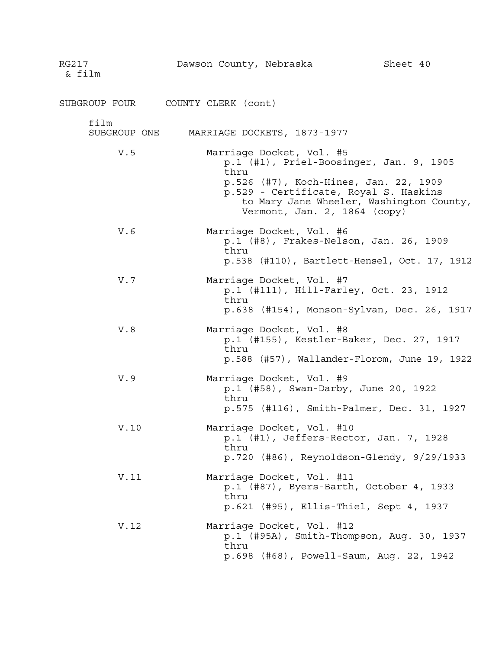| RG217<br>& film      | Dawson County, Nebraska |                                                          | Sheet 40                                                                                                                                                              |
|----------------------|-------------------------|----------------------------------------------------------|-----------------------------------------------------------------------------------------------------------------------------------------------------------------------|
| SUBGROUP FOUR        | COUNTY CLERK (cont)     |                                                          |                                                                                                                                                                       |
| film<br>SUBGROUP ONE |                         | MARRIAGE DOCKETS, 1873-1977                              |                                                                                                                                                                       |
| V.5                  | thru                    | Marriage Docket, Vol. #5<br>Vermont, Jan. 2, 1864 (copy) | p.1 (#1), Priel-Boosinger, Jan. 9, 1905<br>p.526 (#7), Koch-Hines, Jan. 22, 1909<br>p.529 - Certificate, Royal S. Haskins<br>to Mary Jane Wheeler, Washington County, |
| V.6                  | thru                    | Marriage Docket, Vol. #6                                 | p.1 (#8), Frakes-Nelson, Jan. 26, 1909<br>p.538 (#110), Bartlett-Hensel, Oct. 17, 1912                                                                                |
| V.7                  | thru                    | Marriage Docket, Vol. #7                                 | p.1 (#111), Hill-Farley, Oct. 23, 1912<br>p.638 (#154), Monson-Sylvan, Dec. 26, 1917                                                                                  |
| V.8                  | thru                    | Marriage Docket, Vol. #8                                 | p.1 (#155), Kestler-Baker, Dec. 27, 1917<br>$p.588$ (#57), Wallander-Florom, June 19, 1922                                                                            |
| V.9                  | thru                    | Marriage Docket, Vol. #9                                 | p.1 (#58), Swan-Darby, June 20, 1922<br>p.575 (#116), Smith-Palmer, Dec. 31, 1927                                                                                     |
| V.10                 | thru                    | Marriage Docket, Vol. #10                                | $p.1$ (#1), Jeffers-Rector, Jan. 7, 1928<br>$p.720$ (#86), Reynoldson-Glendy, $9/29/1933$                                                                             |
| V.11                 | thru                    | Marriage Docket, Vol. #11                                | p.1 (#87), Byers-Barth, October 4, 1933<br>p.621 (#95), Ellis-Thiel, Sept 4, 1937                                                                                     |
| V.12                 | thru                    | Marriage Docket, Vol. #12                                | p.1 (#95A), Smith-Thompson, Aug. 30, 1937<br>p.698 (#68), Powell-Saum, Aug. 22, 1942                                                                                  |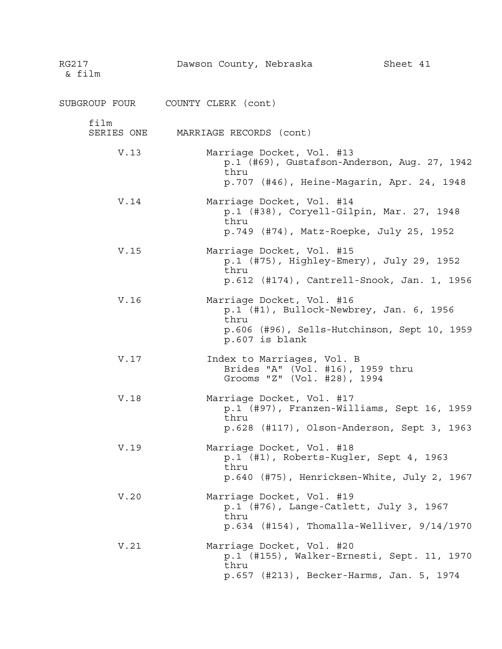| RG217<br>& film    | Dawson County, Nebraska           |                                                                                               | Sheet 41                                                                                   |
|--------------------|-----------------------------------|-----------------------------------------------------------------------------------------------|--------------------------------------------------------------------------------------------|
|                    | SUBGROUP FOUR COUNTY CLERK (cont) |                                                                                               |                                                                                            |
| film<br>SERIES ONE | MARRIAGE RECORDS (cont)           |                                                                                               |                                                                                            |
| V.13               | thru                              | Marriage Docket, Vol. #13                                                                     | p.1 (#69), Gustafson-Anderson, Aug. 27, 1942<br>p.707 (#46), Heine-Magarin, Apr. 24, 1948  |
| V.14               | thru                              | Marriage Docket, Vol. #14                                                                     | p.1 (#38), Coryell-Gilpin, Mar. 27, 1948<br>p.749 (#74), Matz-Roepke, July 25, 1952        |
| V.15               | thru                              | Marriage Docket, Vol. #15                                                                     | p.1 (#75), Highley-Emery), July 29, 1952<br>p.612 (#174), Cantrell-Snook, Jan. 1, 1956     |
| V.16               | thru                              | Marriage Docket, Vol. #16<br>p.607 is blank                                                   | p.1 (#1), Bullock-Newbrey, Jan. 6, 1956<br>p.606 (#96), Sells-Hutchinson, Sept 10, 1959    |
| V.17               |                                   | Index to Marriages, Vol. B<br>Brides "A" (Vol. #16), 1959 thru<br>Grooms "Z" (Vol. #28), 1994 |                                                                                            |
| V.18               | thru                              | Marriage Docket, Vol. #17                                                                     | p.1 (#97), Franzen-Williams, Sept 16, 1959<br>p.628 (#117), Olson-Anderson, Sept 3, 1963   |
| V.19               | thru                              | Marriage Docket, Vol. #18                                                                     | p.1 (#1), Roberts-Kugler, Sept 4, 1963<br>p.640 (#75), Henricksen-White, July 2, 1967      |
| V.20               | thru                              | Marriage Docket, Vol. #19                                                                     | $p.1$ (#76), Lange-Catlett, July 3, 1967<br>$p.634$ (#154), Thomalla-Welliver, $9/14/1970$ |
| V.21               | thru                              | Marriage Docket, Vol. #20                                                                     | p.1 (#155), Walker-Ernesti, Sept. 11, 1970<br>p.657 (#213), Becker-Harms, Jan. 5, 1974     |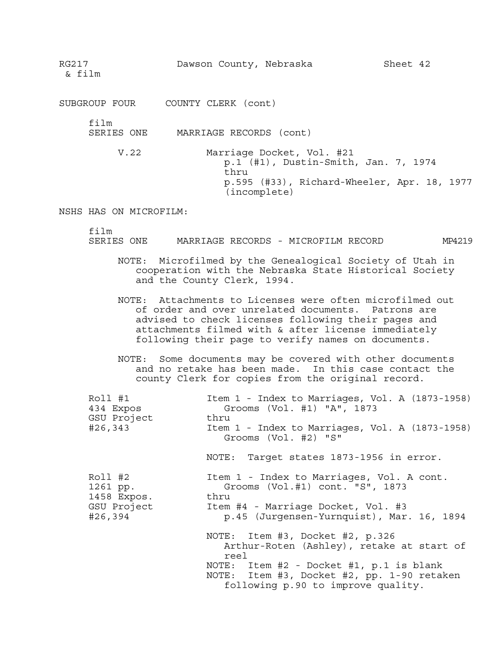RG217 Dawson County, Nebraska Sheet 42

& film

film

SERIES ONE MARRIAGE RECORDS (cont)

V.22 Marriage Docket, Vol. #21 p.1 (#1), Dustin-Smith, Jan. 7, 1974 thru p.595 (#33), Richard-Wheeler, Apr. 18, 1977 (incomplete)

NSHS HAS ON MICROFILM:

film

SERIES ONE MARRIAGE RECORDS - MICROFILM RECORD MP4219

- NOTE: Microfilmed by the Genealogical Society of Utah in cooperation with the Nebraska State Historical Society and the County Clerk, 1994.
- NOTE: Attachments to Licenses were often microfilmed out of order and over unrelated documents. Patrons are advised to check licenses following their pages and attachments filmed with & after license immediately following their page to verify names on documents.

NOTE: Some documents may be covered with other documents and no retake has been made. In this case contact the county Clerk for copies from the original record.

| Roll #1     | Item 1 - Index to Marriages, Vol. A (1873-1958)                                                                                                                                                                     |
|-------------|---------------------------------------------------------------------------------------------------------------------------------------------------------------------------------------------------------------------|
| 434 Expos   | Grooms (Vol. #1) "A", 1873                                                                                                                                                                                          |
| GSU Project | thru                                                                                                                                                                                                                |
| #26,343     | Item 1 - Index to Marriages, Vol. A (1873-1958)                                                                                                                                                                     |
|             | Grooms (Vol. #2) "S"<br>NOTE: Target states 1873-1956 in error.                                                                                                                                                     |
| Roll #2     | Item 1 - Index to Marriages, Vol. A cont.                                                                                                                                                                           |
| 1261 pp.    | Grooms (Vol.#1) cont. "S", 1873                                                                                                                                                                                     |
| 1458 Expos. | thru                                                                                                                                                                                                                |
| GSU Project | Item #4 - Marriage Docket, Vol. #3                                                                                                                                                                                  |
| #26,394     | p.45 (Jurgensen-Yurnquist), Mar. 16, 1894                                                                                                                                                                           |
|             | NOTE: Item #3, Docket #2, p.326<br>Arthur-Roten (Ashley), retake at start of<br>reel<br>NOTE: Item #2 - Docket #1, p.1 is blank<br>NOTE: Item #3, Docket #2, pp. 1-90 retaken<br>following p.90 to improve quality. |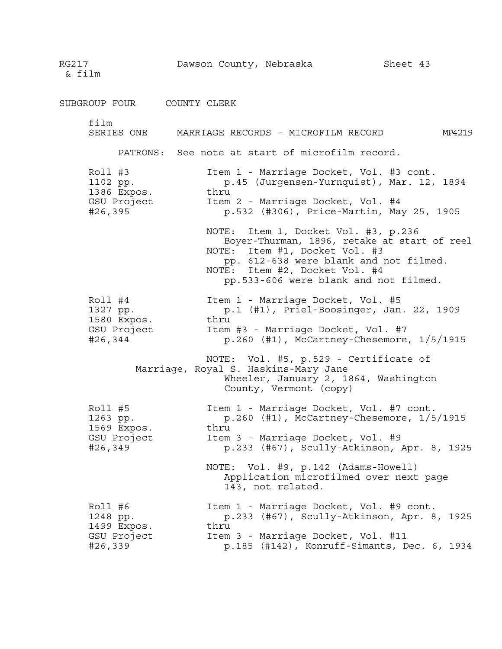RG217 **Dawson County, Nebraska** Sheet 43 & film SUBGROUP FOUR COUNTY CLERK film SERIES ONE MARRIAGE RECORDS - MICROFILM RECORD MP4219 PATRONS: See note at start of microfilm record. Roll #3 Item 1 - Marriage Docket, Vol. #3 cont. 1102 pp. p.45 (Jurgensen-Yurnquist), Mar. 12, 1894 1386 Expos. thru GSU Project **Item 2 - Marriage Docket, Vol. #4** #26,395 p.532 (#306), Price-Martin, May 25, 1905 NOTE: Item 1, Docket Vol. #3, p.236 Boyer-Thurman, 1896, retake at start of reel NOTE: Item #1, Docket Vol. #3 pp. 612-638 were blank and not filmed. NOTE: Item #2, Docket Vol. #4 pp.533-606 were blank and not filmed. Roll #4 Item 1 - Marriage Docket, Vol. #5 1327 pp. (#1), Priel-Boosinger, Jan. 22, 1909 1580 Expos. thru GSU Project **Item #3 - Marriage Docket, Vol. #7** #26,344 p.260 (#1), McCartney-Chesemore, 1/5/1915 NOTE: Vol. #5, p.529 - Certificate of Marriage, Royal S. Haskins-Mary Jane Wheeler, January 2, 1864, Washington County, Vermont (copy) Roll #5 Item 1 - Marriage Docket, Vol. #7 cont. 1263 pp. p.260 (#1), McCartney-Chesemore, 1/5/1915 1569 Expos. thru GSU Project Item 3 - Marriage Docket, Vol. #9 #26,349 p.233 (#67), Scully-Atkinson, Apr. 8, 1925 NOTE: Vol. #9, p.142 (Adams-Howell) Application microfilmed over next page 143, not related. Roll #6 Item 1 - Marriage Docket, Vol. #9 cont. 1248 pp. p.233 (#67), Scully-Atkinson, Apr. 8, 1925 1499 Expos. thru GSU Project Item 3 - Marriage Docket, Vol. #11 #26,339 p.185 (#142), Konruff-Simants, Dec. 6, 1934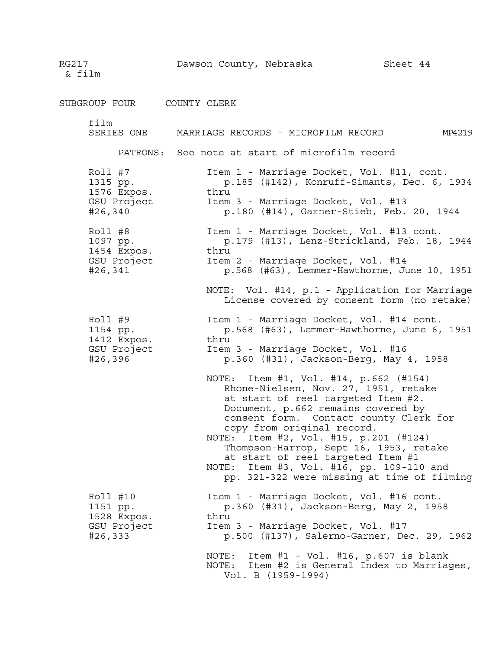RG217 **Dawson County, Nebraska** Sheet 44 & film SUBGROUP FOUR COUNTY CLERK film SERIES ONE MARRIAGE RECORDS - MICROFILM RECORD MP4219 PATRONS: See note at start of microfilm record Roll #7 Item 1 - Marriage Docket, Vol. #11, cont. 1315 pp. p.185 (#142), Konruff-Simants, Dec. 6, 1934 1576 Expos. thru GSU Project 1tem 3 - Marriage Docket, Vol. #13<br>#26,340 p.180 (#14), Garner-Stieb, Feb. p.180 (#14), Garner-Stieb, Feb. 20, 1944 Roll #8 Item 1 - Marriage Docket, Vol. #13 cont. p. 179 (#13), Lenz-Strickland, Feb. 18, 1944 1097 pp. p<br>1454 Expos. thru GSU Project Item 2 - Marriage Docket, Vol. #14 #26,341 p.568 (#63), Lemmer-Hawthorne, June 10, 1951 NOTE: Vol. #14, p.1 - Application for Marriage License covered by consent form (no retake) Roll #9 Item 1 - Marriage Docket, Vol. #14 cont. 1154 pp. p.568 (#63), Lemmer-Hawthorne, June 6, 1951 1412 Expos. thru<br>GSU Project Item Item 3 - Marriage Docket, Vol. #16 #26,396 p.360 (#31), Jackson-Berg, May 4, 1958 NOTE: Item #1, Vol. #14, p.662 (#154) Rhone-Nielsen, Nov. 27, 1951, retake at start of reel targeted Item #2. Document, p.662 remains covered by consent form. Contact county Clerk for copy from original record. NOTE: Item #2, Vol. #15, p.201 (#124) Thompson-Harrop, Sept 16, 1953, retake at start of reel targeted Item #1 NOTE: Item #3, Vol. #16, pp. 109-110 and pp. 321-322 were missing at time of filming Roll #10 **Item 1 - Marriage Docket, Vol. #16 cont.** 1151 pp. p.360 (#31), Jackson-Berg, May 2, 1958 1528 Expos. thru GSU Project 1tem 3 - Marriage Docket, Vol. #17<br>#26,333 (1137), Salerno-Garner, De #26,333 p.500 (#137), Salerno-Garner, Dec. 29, 1962 NOTE: Item #1 - Vol. #16, p.607 is blank NOTE: Item #2 is General Index to Marriages, Vol. B (1959-1994)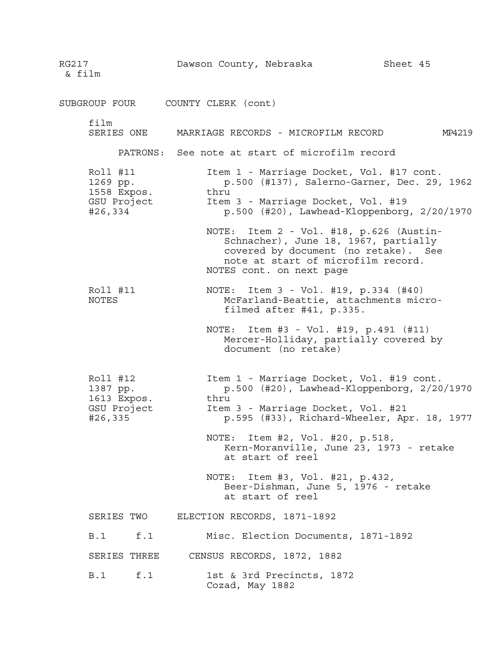RG217 Dawson County, Nebraska Sheet 45 & film SUBGROUP FOUR COUNTY CLERK (cont) film SERIES ONE MARRIAGE RECORDS - MICROFILM RECORD MP4219 PATRONS: See note at start of microfilm record Roll #11 **Item 1 - Marriage Docket, Vol. #17 cont.** 1269 pp. p.500 (#137), Salerno-Garner, Dec. 29, 1962 1558 Expos. thru GSU Project 1tem 3 - Marriage Docket, Vol. #19<br>#26,334 p.500 (#20), Lawhead-Kloppenborg p.500 (#20), Lawhead-Kloppenborg, 2/20/1970 NOTE: Item 2 - Vol. #18, p.626 (Austin-Schnacher), June 18, 1967, partially covered by document (no retake). See note at start of microfilm record. NOTES cont. on next page Roll #11 NOTE: Item 3 - Vol. #19, p.334 (#40) NOTES McFarland-Beattie, attachments microfilmed after #41, p.335. NOTE: Item #3 - Vol. #19, p.491 (#11) Mercer-Holliday, partially covered by document (no retake) Roll #12 Item 1 - Marriage Docket, Vol. #19 cont.<br>1387 pp. p.500 (#20), Lawhead-Kloppenborg, 2/20  $p.500$  (#20), Lawhead-Kloppenborg,  $2/20/1970$ 1613 Expos. thru GSU Project Item 3 - Marriage Docket, Vol. #21 #26,335 p.595 (#33), Richard-Wheeler, Apr. 18, 1977 NOTE: Item #2, Vol. #20, p.518, Kern-Moranville, June 23, 1973 - retake at start of reel NOTE: Item #3, Vol. #21, p.432, Beer-Dishman, June 5, 1976 - retake at start of reel SERIES TWO ELECTION RECORDS, 1871-1892 B.1 f.1 Misc. Election Documents, 1871-1892 SERIES THREE CENSUS RECORDS, 1872, 1882 B.1 f.1 1st & 3rd Precincts, 1872 Cozad, May 1882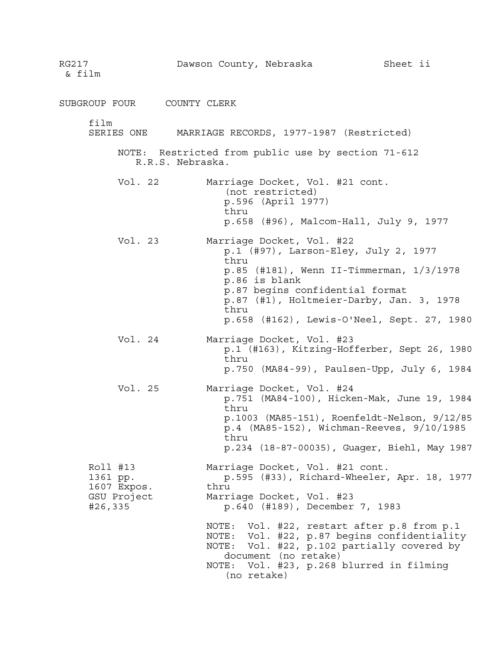| RG217<br>& film                                               | Dawson County, Nebraska                                                                                                                                                                                                                          | Sheet ii                                                                                                                                                                                 |
|---------------------------------------------------------------|--------------------------------------------------------------------------------------------------------------------------------------------------------------------------------------------------------------------------------------------------|------------------------------------------------------------------------------------------------------------------------------------------------------------------------------------------|
| SUBGROUP FOUR COUNTY CLERK                                    |                                                                                                                                                                                                                                                  |                                                                                                                                                                                          |
| film<br>SERIES ONE                                            | MARRIAGE RECORDS, 1977-1987 (Restricted)                                                                                                                                                                                                         |                                                                                                                                                                                          |
|                                                               | NOTE: Restricted from public use by section 71-612<br>R.R.S. Nebraska.                                                                                                                                                                           |                                                                                                                                                                                          |
| Vol. 22                                                       | Marriage Docket, Vol. #21 cont.<br>(not restricted)<br>p.596 (April 1977)<br>thru<br>p.658 (#96), Malcom-Hall, July 9, 1977                                                                                                                      |                                                                                                                                                                                          |
| Vol. 23                                                       | Marriage Docket, Vol. #22<br>p.1 (#97), Larson-Eley, July 2, 1977<br>thru<br>p.86 is blank<br>p.87 begins confidential format<br>thru                                                                                                            | $p.85$ (#181), Wenn II-Timmerman, $1/3/1978$<br>p.87 (#1), Holtmeier-Darby, Jan. 3, 1978<br>p.658 (#162), Lewis-O'Neel, Sept. 27, 1980                                                   |
| Vol. 24                                                       | Marriage Docket, Vol. #23<br>thru                                                                                                                                                                                                                | p.1 (#163), Kitzing-Hofferber, Sept 26, 1980<br>p.750 (MA84-99), Paulsen-Upp, July 6, 1984                                                                                               |
| Vol. 25                                                       | Marriage Docket, Vol. #24<br>thru<br>thru                                                                                                                                                                                                        | p.751 (MA84-100), Hicken-Mak, June 19, 1984<br>p.1003 (MA85-151), Roenfeldt-Nelson, 9/12/85<br>p.4 (MA85-152), Wichman-Reeves, 9/10/1985<br>p.234 (18-87-00035), Guager, Biehl, May 1987 |
| Roll #13<br>1361 pp.<br>1607 Expos.<br>GSU Project<br>#26,335 | Marriage Docket, Vol. #21 cont.<br>thru<br>Marriage Docket, Vol. #23<br>p.640 (#189), December 7, 1983<br>NOTE: Vol. #22, restart after p.8 from p.1<br>NOTE:<br>document (no retake)<br>NOTE: Vol. #23, p.268 blurred in filming<br>(no retake) | p.595 (#33), Richard-Wheeler, Apr. 18, 1977<br>NOTE: Vol. #22, p.87 begins confidentiality<br>Vol. #22, p.102 partially covered by                                                       |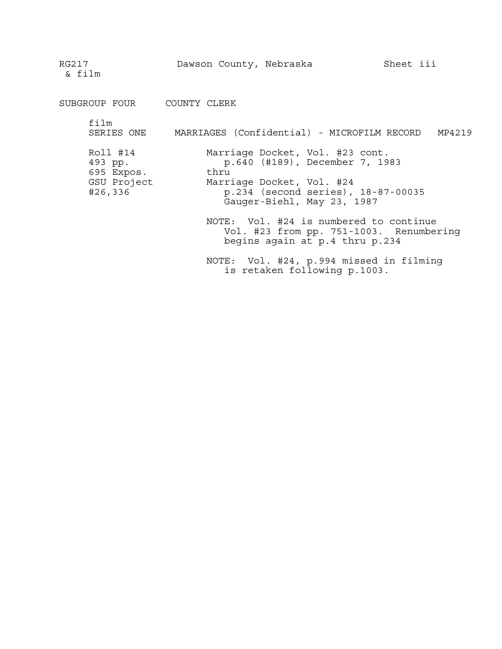SUBGROUP FOUR COUNTY CLERK film SERIES ONE MARRIAGES (Confidential) - MICROFILM RECORD MP4219 Roll #14 Marriage Docket, Vol. #23 cont. 493 pp. p.640 (#189), December 7, 1983 695 Expos. thru GSU Project Marriage Docket, Vol. #24 #26,336 p.234 (second series), 18-87-00035 Gauger-Biehl, May 23, 1987 NOTE: Vol. #24 is numbered to continue Vol. #23 from pp. 751-1003. Renumbering begins again at p.4 thru p.234 NOTE: Vol. #24, p.994 missed in filming

is retaken following p.1003.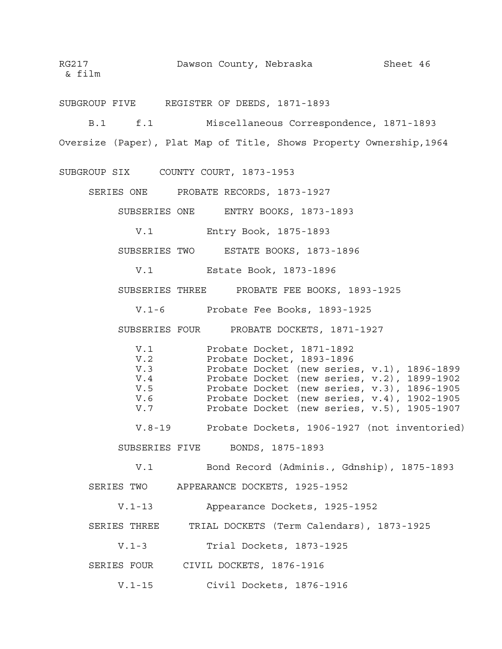SUBGROUP FIVE REGISTER OF DEEDS, 1871-1893

B.1 f.1 Miscellaneous Correspondence, 1871-1893 Oversize (Paper), Plat Map of Title, Shows Property Ownership,1964

SUBGROUP SIX COUNTY COURT, 1873-1953

SERIES ONE PROBATE RECORDS, 1873-1927

SUBSERIES ONE ENTRY BOOKS, 1873-1893

V.1 Entry Book, 1875-1893

SUBSERIES TWO ESTATE BOOKS, 1873-1896

V.1 Estate Book, 1873-1896

SUBSERIES THREE PROBATE FEE BOOKS, 1893-1925

V.1-6 Probate Fee Books, 1893-1925

SUBSERIES FOUR PROBATE DOCKETS, 1871-1927

V.1 Probate Docket, 1871-1892 Probate Docket, 1893-1896 V.3 Probate Docket (new series, v.1), 1896-1899 V.4 Probate Docket (new series, v.2), 1899-1902 V.4 Probate Docket (new series, v.2), 1899-1902<br>V.5 Probate Docket (new series, v.3), 1896-1905<br>V.6 Probate Docket (new series, v.4), 1902-1905 Probate Docket (new series, v.4), 1902-1905 V.7 Probate Docket (new series, v.5), 1905-1907

V.8-19 Probate Dockets, 1906-1927 (not inventoried)

SUBSERIES FIVE BONDS, 1875-1893

V.1 Bond Record (Adminis., Gdnship), 1875-1893 SERIES TWO APPEARANCE DOCKETS, 1925-1952

V.1-13 Appearance Dockets, 1925-1952

- SERIES THREE TRIAL DOCKETS (Term Calendars), 1873-1925
	- V.1-3 Trial Dockets, 1873-1925
- SERIES FOUR CIVIL DOCKETS, 1876-1916
	- V.1-15 Civil Dockets, 1876-1916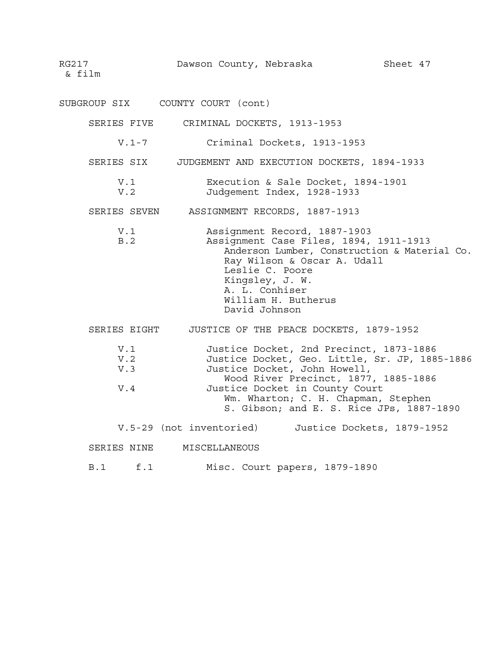RG217 **Dawson County, Nebraska** Sheet 47

& film

SUBGROUP SIX COUNTY COURT (cont) SERIES FIVE CRIMINAL DOCKETS, 1913-1953 V.1-7 Criminal Dockets, 1913-1953 SERIES SIX JUDGEMENT AND EXECUTION DOCKETS, 1894-1933 V.1 Execution & Sale Docket, 1894-1901 V.2 Judgement Index, 1928-1933 SERIES SEVEN ASSIGNMENT RECORDS, 1887-1913 V.1 Assignment Record, 1887-1903 B.2 Assignment Case Files, 1894, 1911-1913 Anderson Lumber, Construction & Material Co. Ray Wilson & Oscar A. Udall Leslie C. Poore Kingsley, J. W. A. L. Conhiser William H. Butherus David Johnson SERIES EIGHT JUSTICE OF THE PEACE DOCKETS, 1879-1952 V.1 Justice Docket, 2nd Precinct, 1873-1886 V.2 Justice Docket, Geo. Little, Sr. JP, 1885-1886 V.3 Justice Docket, John Howell, Wood River Precinct, 1877, 1885-1886 V.4 Justice Docket in County Court Wm. Wharton; C. H. Chapman, Stephen S. Gibson; and E. S. Rice JPs, 1887-1890 V.5-29 (not inventoried) Justice Dockets, 1879-1952 SERIES NINE MISCELLANEOUS B.1 f.1 Misc. Court papers, 1879-1890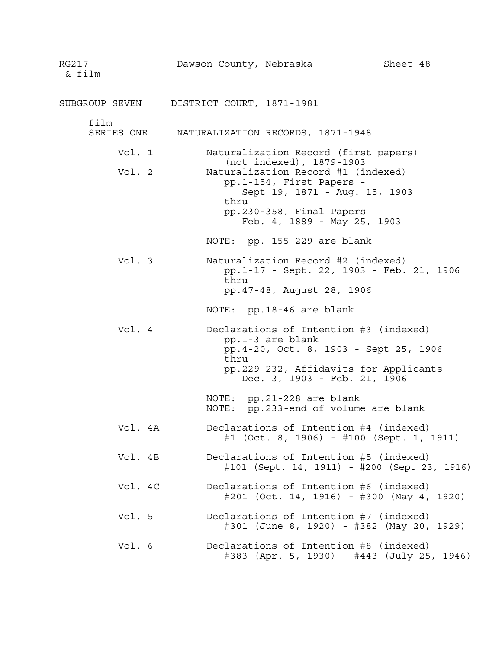| RG217<br>& film    | Dawson County, Nebraska                                                                                                             | Sheet 48                                                                        |  |  |
|--------------------|-------------------------------------------------------------------------------------------------------------------------------------|---------------------------------------------------------------------------------|--|--|
|                    | SUBGROUP SEVEN DISTRICT COURT, 1871-1981                                                                                            |                                                                                 |  |  |
| film<br>SERIES ONE | NATURALIZATION RECORDS, 1871-1948                                                                                                   |                                                                                 |  |  |
| Vol. 1             |                                                                                                                                     | Naturalization Record (first papers)                                            |  |  |
| Vol. 2             | (not indexed), 1879-1903<br>Naturalization Record #1 (indexed)<br>pp.1-154, First Papers -<br>Sept 19, 1871 - Aug. 15, 1903<br>thru |                                                                                 |  |  |
|                    | pp.230-358, Final Papers<br>Feb. 4, 1889 - May 25, 1903                                                                             |                                                                                 |  |  |
|                    | NOTE: pp. 155-229 are blank                                                                                                         |                                                                                 |  |  |
| Vol. 3             | Naturalization Record #2 (indexed)<br>thru<br>pp. 47-48, August 28, 1906                                                            | pp.1-17 - Sept. 22, 1903 - Feb. 21, 1906                                        |  |  |
|                    | NOTE: pp.18-46 are blank                                                                                                            |                                                                                 |  |  |
| Vol. 4             | Declarations of Intention #3 (indexed)<br>pp.1-3 are blank<br>thru<br>Dec. 3, 1903 - Feb. 21, 1906                                  | pp. 4-20, Oct. 8, 1903 - Sept 25, 1906<br>pp.229-232, Affidavits for Applicants |  |  |
|                    | NOTE: pp.21-228 are blank<br>NOTE: pp.233-end of volume are blank                                                                   |                                                                                 |  |  |
| Vol. 4A            | Declarations of Intention #4 (indexed)                                                                                              | $#1$ (Oct. 8, 1906) - $#100$ (Sept. 1, 1911)                                    |  |  |
| Vol. 4B            | Declarations of Intention #5 (indexed)                                                                                              | #101 (Sept. 14, 1911) - #200 (Sept 23, 1916)                                    |  |  |
| Vol. 4C            | Declarations of Intention #6 (indexed)                                                                                              | $\#201$ (Oct. 14, 1916) - $\#300$ (May 4, 1920)                                 |  |  |
| Vol. 5             | Declarations of Intention #7 (indexed)                                                                                              | #301 (June 8, 1920) - #382 (May 20, 1929)                                       |  |  |
| Vol. 6             | Declarations of Intention #8 (indexed)                                                                                              | #383 (Apr. 5, 1930) - #443 (July 25, 1946)                                      |  |  |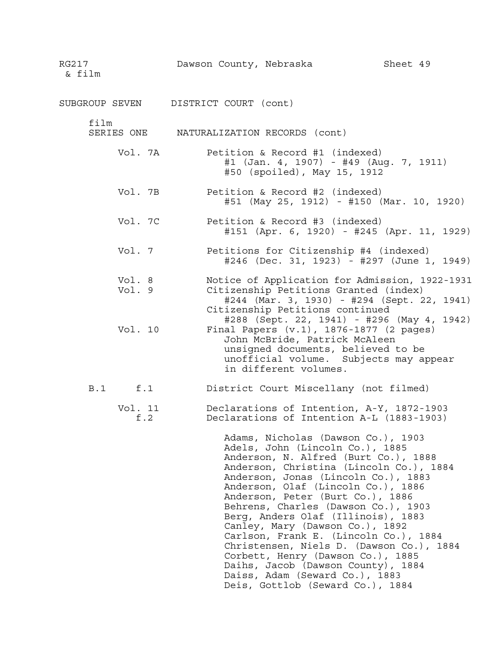SUBGROUP SEVEN DISTRICT COURT (cont)

film

- SERIES ONE NATURALIZATION RECORDS (cont)
	- Vol. 7A Petition & Record #1 (indexed) #1 (Jan. 4, 1907) - #49 (Aug. 7, 1911) #50 (spoiled), May 15, 1912
	- Vol. 7B Petition & Record #2 (indexed) #51 (May 25, 1912) - #150 (Mar. 10, 1920)
	- Vol. 7C Petition & Record #3 (indexed) #151 (Apr. 6, 1920) - #245 (Apr. 11, 1929)
	- Vol. 7 Petitions for Citizenship #4 (indexed) #246 (Dec. 31, 1923) - #297 (June 1, 1949)
	- Vol. 8 Notice of Application for Admission, 1922-1931 Vol. 9 Citizenship Petitions Granted (index) #244 (Mar. 3, 1930) - #294 (Sept. 22, 1941) Citizenship Petitions continued
	- #288 (Sept. 22, 1941) #296 (May 4, 1942) Vol. 10 Final Papers (v.1), 1876-1877 (2 pages) John McBride, Patrick McAleen unsigned documents, believed to be
		- unofficial volume. Subjects may appear in different volumes.
- B.1 f.1 District Court Miscellany (not filmed)
	- Vol. 11 Declarations of Intention, A-Y, 1872-1903 f.2 Declarations of Intention A-L (1883-1903)

Adams, Nicholas (Dawson Co.), 1903 Adels, John (Lincoln Co.), 1885 Anderson, N. Alfred (Burt Co.), 1888 Anderson, Christina (Lincoln Co.), 1884 Anderson, Jonas (Lincoln Co.), 1883 Anderson, Olaf (Lincoln Co.), 1886 Anderson, Peter (Burt Co.), 1886 Behrens, Charles (Dawson Co.), 1903 Berg, Anders Olaf (Illinois), 1883 Canley, Mary (Dawson Co.), 1892 Carlson, Frank E. (Lincoln Co.), 1884 Christensen, Niels D. (Dawson Co.), 1884 Corbett, Henry (Dawson Co.), 1885 Daihs, Jacob (Dawson County), 1884 Daiss, Adam (Seward Co.), 1883 Deis, Gottlob (Seward Co.), 1884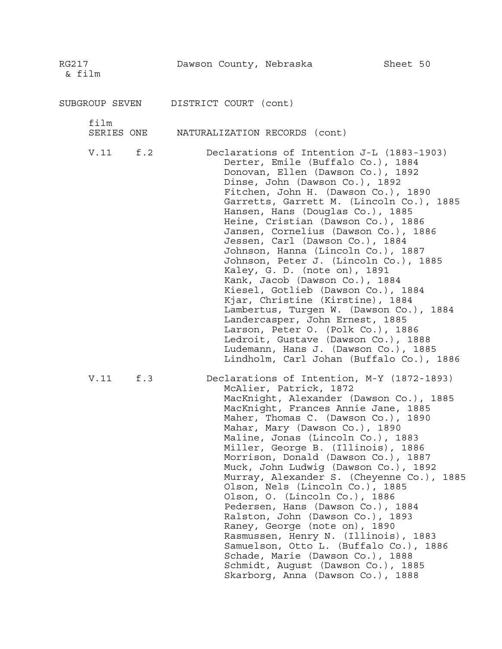SUBGROUP SEVEN DISTRICT COURT (cont)

film

SERIES ONE NATURALIZATION RECORDS (cont)

V.11 f.2 Declarations of Intention J-L (1883-1903) Derter, Emile (Buffalo Co.), 1884 Donovan, Ellen (Dawson Co.), 1892 Dinse, John (Dawson Co.), 1892 Fitchen, John H. (Dawson Co.), 1890 Garretts, Garrett M. (Lincoln Co.), 1885 Hansen, Hans (Douglas Co.), 1885 Heine, Cristian (Dawson Co.), 1886 Jansen, Cornelius (Dawson Co.), 1886 Jessen, Carl (Dawson Co.), 1884 Johnson, Hanna (Lincoln Co.), 1887 Johnson, Peter J. (Lincoln Co.), 1885 Kaley, G. D. (note on), 1891 Kank, Jacob (Dawson Co.), 1884 Kiesel, Gotlieb (Dawson Co.), 1884 Kjar, Christine (Kirstine), 1884 Lambertus, Turgen W. (Dawson Co.), 1884 Landercasper, John Ernest, 1885 Larson, Peter O. (Polk Co.), 1886 Ledroit, Gustave (Dawson Co.), 1888 Ludemann, Hans J. (Dawson Co.), 1885 Lindholm, Carl Johan (Buffalo Co.), 1886

V.11 f.3 Declarations of Intention, M-Y (1872-1893) McAlier, Patrick, 1872 MacKnight, Alexander (Dawson Co.), 1885 MacKnight, Frances Annie Jane, 1885 Maher, Thomas C. (Dawson Co.), 1890 Mahar, Mary (Dawson Co.), 1890 Maline, Jonas (Lincoln Co.), 1883 Miller, George B. (Illinois), 1886 Morrison, Donald (Dawson Co.), 1887 Muck, John Ludwig (Dawson Co.), 1892 Murray, Alexander S. (Cheyenne Co.), 1885 Olson, Nels (Lincoln Co.), 1885 Olson, O. (Lincoln Co.), 1886 Pedersen, Hans (Dawson Co.), 1884 Ralston, John (Dawson Co.), 1893 Raney, George (note on), 1890 Rasmussen, Henry N. (Illinois), 1883 Samuelson, Otto L. (Buffalo Co.), 1886 Schade, Marie (Dawson Co.), 1888 Schmidt, August (Dawson Co.), 1885 Skarborg, Anna (Dawson Co.), 1888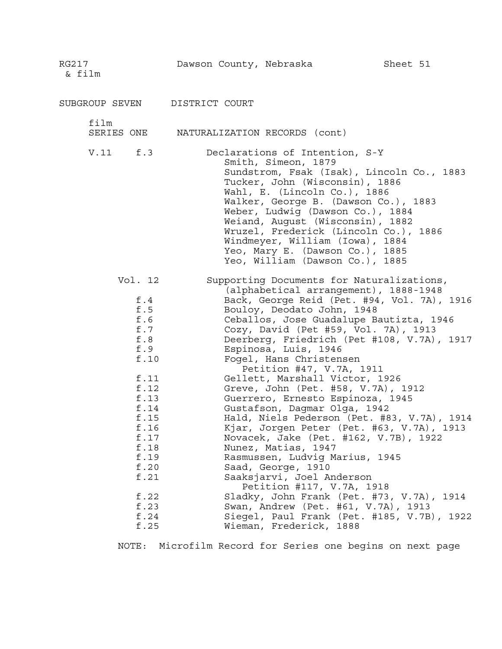RG217 Dawson County, Nebraska Sheet 51 & film SUBGROUP SEVEN DISTRICT COURT film SERIES ONE NATURALIZATION RECORDS (cont) V.11 f.3 Declarations of Intention, S-Y Smith, Simeon, 1879 Sundstrom, Fsak (Isak), Lincoln Co., 1883 Tucker, John (Wisconsin), 1886 Wahl, E. (Lincoln Co.), 1886 Walker, George B. (Dawson Co.), 1883 Weber, Ludwig (Dawson Co.), 1884 Weiand, August (Wisconsin), 1882 Wruzel, Frederick (Lincoln Co.), 1886 Windmeyer, William (Iowa), 1884 Yeo, Mary E. (Dawson Co.), 1885 Yeo, William (Dawson Co.), 1885 Vol. 12 Supporting Documents for Naturalizations, (alphabetical arrangement), 1888-1948 f.4 Back, George Reid (Pet. #94, Vol. 7A), 1916 f.5 Bouloy, Deodato John, 1948<br>f.6 Ceballos, Jose Guadalupe B Ceballos, Jose Guadalupe Bautizta, 1946 f.7 Cozy, David (Pet #59, Vol. 7A), 1913 f.8 Deerberg, Friedrich (Pet #108, V.7A), 1917 f.9 Espinosa, Luis, 1946 f.10 Fogel, Hans Christensen Petition #47, V.7A, 1911 f.11 Gellett, Marshall Victor, 1926 f.12 Greve, John (Pet. #58, V.7A), 1912 f.13 Guerrero, Ernesto Espinoza, 1945 f.14 Gustafson, Dagmar Olga, 1942 f.15 Hald, Niels Pederson (Pet. #83, V.7A), 1914 f.16 Kjar, Jorgen Peter (Pet. #63, V.7A), 1913 f.17 Novacek, Jake (Pet. #162, V.7B), 1922 f.18 Nunez, Matias, 1947 f.19 Rasmussen, Ludvig Marius, 1945 f.20 Saad, George, 1910 f.21 Saaksjarvi, Joel Anderson Petition #117, V.7A, 1918 f.22 Sladky, John Frank (Pet. #73, V.7A), 1914 f.23 Swan, Andrew (Pet. #61, V.7A), 1913 f.24 Siegel, Paul Frank (Pet. #185, V.7B), 1922

NOTE: Microfilm Record for Series one begins on next page

f.25 Wieman, Frederick, 1888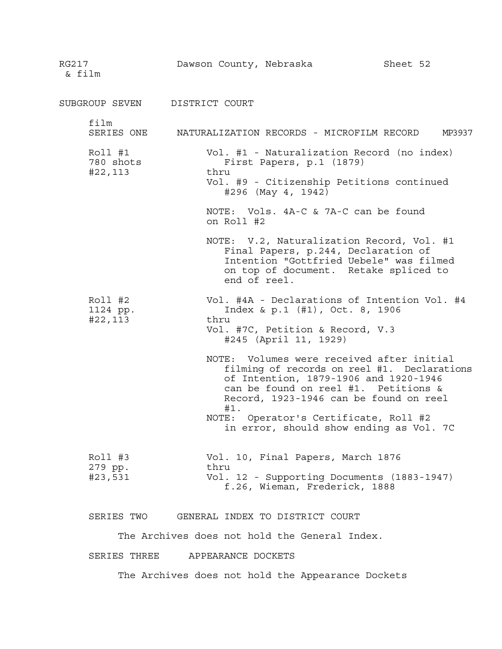RG217 Dawson County, Nebraska Sheet 52 & film SUBGROUP SEVEN DISTRICT COURT film SERIES ONE NATURALIZATION RECORDS - MICROFILM RECORD MP3937 Roll #1 Vol. #1 - Naturalization Record (no index) 780 shots First Papers, p.1 (1879) #22,113 thru Vol. #9 - Citizenship Petitions continued #296 (May 4, 1942) NOTE: Vols. 4A-C & 7A-C can be found on Roll #2 NOTE: V.2, Naturalization Record, Vol. #1 Final Papers, p.244, Declaration of Intention "Gottfried Uebele" was filmed on top of document. Retake spliced to end of reel. Roll #2 Vol. #4A - Declarations of Intention Vol. #4 1124 pp. Index & p.1 (#1), Oct. 8, 1906 #22,113 thru Vol. #7C, Petition & Record, V.3 #245 (April 11, 1929) NOTE: Volumes were received after initial filming of records on reel #1. Declarations of Intention, 1879-1906 and 1920-1946 can be found on reel #1. Petitions & Record, 1923-1946 can be found on reel #1. NOTE: Operator's Certificate, Roll #2 in error, should show ending as Vol. 7C Roll #3 Vol. 10, Final Papers, March 1876 279 pp. thru #23,531 Vol. 12 - Supporting Documents (1883-1947) f.26, Wieman, Frederick, 1888 SERIES TWO GENERAL INDEX TO DISTRICT COURT

The Archives does not hold the General Index.

SERIES THREE APPEARANCE DOCKETS

The Archives does not hold the Appearance Dockets